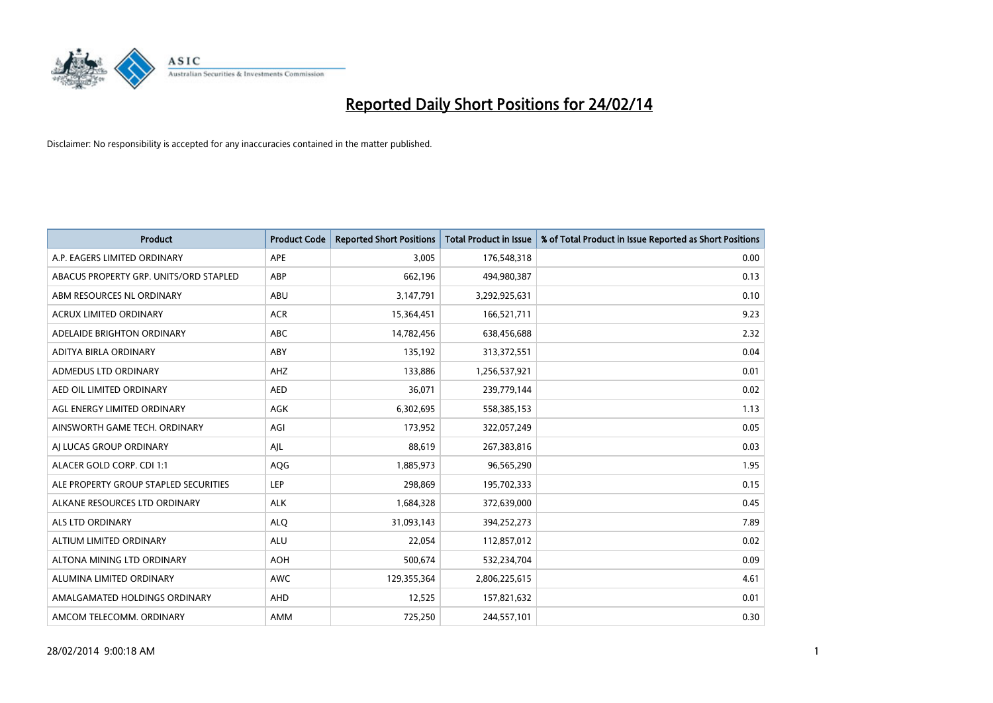

| <b>Product</b>                         | <b>Product Code</b> | <b>Reported Short Positions</b> | <b>Total Product in Issue</b> | % of Total Product in Issue Reported as Short Positions |
|----------------------------------------|---------------------|---------------------------------|-------------------------------|---------------------------------------------------------|
| A.P. EAGERS LIMITED ORDINARY           | APE                 | 3,005                           | 176,548,318                   | 0.00                                                    |
| ABACUS PROPERTY GRP. UNITS/ORD STAPLED | ABP                 | 662,196                         | 494,980,387                   | 0.13                                                    |
| ABM RESOURCES NL ORDINARY              | ABU                 | 3,147,791                       | 3,292,925,631                 | 0.10                                                    |
| <b>ACRUX LIMITED ORDINARY</b>          | <b>ACR</b>          | 15,364,451                      | 166,521,711                   | 9.23                                                    |
| ADELAIDE BRIGHTON ORDINARY             | <b>ABC</b>          | 14,782,456                      | 638,456,688                   | 2.32                                                    |
| ADITYA BIRLA ORDINARY                  | ABY                 | 135,192                         | 313,372,551                   | 0.04                                                    |
| ADMEDUS LTD ORDINARY                   | AHZ                 | 133,886                         | 1,256,537,921                 | 0.01                                                    |
| AED OIL LIMITED ORDINARY               | <b>AED</b>          | 36,071                          | 239,779,144                   | 0.02                                                    |
| AGL ENERGY LIMITED ORDINARY            | <b>AGK</b>          | 6,302,695                       | 558,385,153                   | 1.13                                                    |
| AINSWORTH GAME TECH. ORDINARY          | AGI                 | 173,952                         | 322,057,249                   | 0.05                                                    |
| AI LUCAS GROUP ORDINARY                | AJL                 | 88,619                          | 267,383,816                   | 0.03                                                    |
| ALACER GOLD CORP. CDI 1:1              | AQG                 | 1,885,973                       | 96,565,290                    | 1.95                                                    |
| ALE PROPERTY GROUP STAPLED SECURITIES  | <b>LEP</b>          | 298,869                         | 195,702,333                   | 0.15                                                    |
| ALKANE RESOURCES LTD ORDINARY          | <b>ALK</b>          | 1,684,328                       | 372,639,000                   | 0.45                                                    |
| ALS LTD ORDINARY                       | <b>ALQ</b>          | 31,093,143                      | 394,252,273                   | 7.89                                                    |
| ALTIUM LIMITED ORDINARY                | <b>ALU</b>          | 22,054                          | 112,857,012                   | 0.02                                                    |
| ALTONA MINING LTD ORDINARY             | <b>AOH</b>          | 500,674                         | 532,234,704                   | 0.09                                                    |
| ALUMINA LIMITED ORDINARY               | <b>AWC</b>          | 129,355,364                     | 2,806,225,615                 | 4.61                                                    |
| AMALGAMATED HOLDINGS ORDINARY          | AHD                 | 12,525                          | 157,821,632                   | 0.01                                                    |
| AMCOM TELECOMM, ORDINARY               | AMM                 | 725,250                         | 244,557,101                   | 0.30                                                    |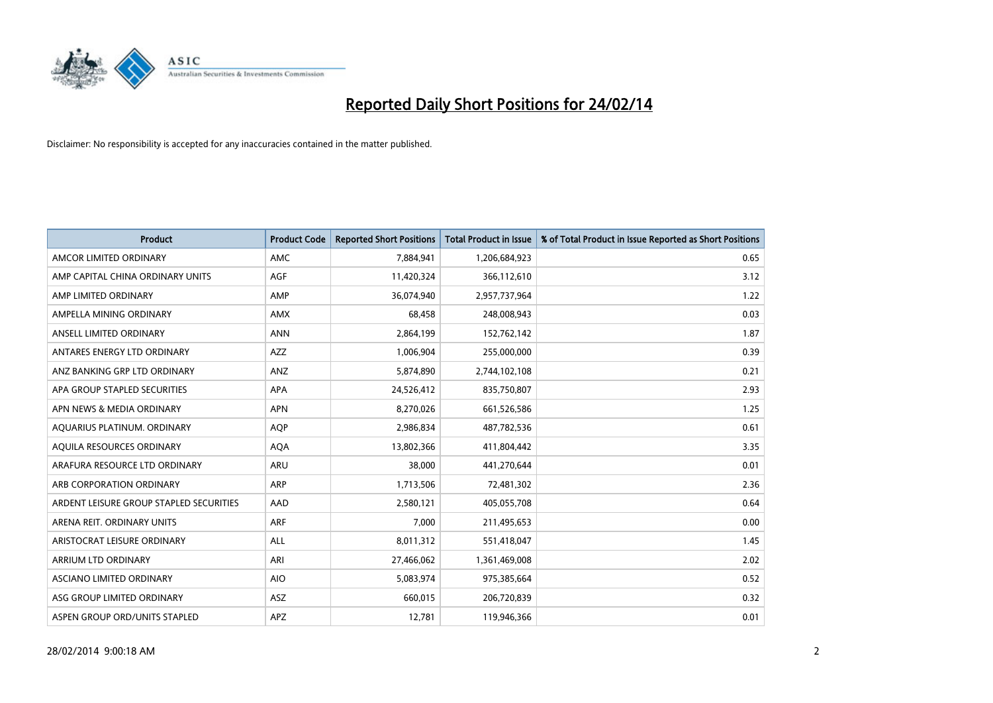

| <b>Product</b>                          | <b>Product Code</b> | <b>Reported Short Positions</b> | <b>Total Product in Issue</b> | % of Total Product in Issue Reported as Short Positions |
|-----------------------------------------|---------------------|---------------------------------|-------------------------------|---------------------------------------------------------|
| AMCOR LIMITED ORDINARY                  | AMC                 | 7,884,941                       | 1,206,684,923                 | 0.65                                                    |
| AMP CAPITAL CHINA ORDINARY UNITS        | AGF                 | 11,420,324                      | 366,112,610                   | 3.12                                                    |
| AMP LIMITED ORDINARY                    | AMP                 | 36,074,940                      | 2,957,737,964                 | 1.22                                                    |
| AMPELLA MINING ORDINARY                 | <b>AMX</b>          | 68,458                          | 248,008,943                   | 0.03                                                    |
| ANSELL LIMITED ORDINARY                 | <b>ANN</b>          | 2,864,199                       | 152,762,142                   | 1.87                                                    |
| ANTARES ENERGY LTD ORDINARY             | <b>AZZ</b>          | 1,006,904                       | 255,000,000                   | 0.39                                                    |
| ANZ BANKING GRP LTD ORDINARY            | ANZ                 | 5,874,890                       | 2,744,102,108                 | 0.21                                                    |
| APA GROUP STAPLED SECURITIES            | APA                 | 24,526,412                      | 835,750,807                   | 2.93                                                    |
| APN NEWS & MEDIA ORDINARY               | <b>APN</b>          | 8,270,026                       | 661,526,586                   | 1.25                                                    |
| AQUARIUS PLATINUM. ORDINARY             | <b>AOP</b>          | 2,986,834                       | 487,782,536                   | 0.61                                                    |
| AQUILA RESOURCES ORDINARY               | <b>AQA</b>          | 13,802,366                      | 411,804,442                   | 3.35                                                    |
| ARAFURA RESOURCE LTD ORDINARY           | ARU                 | 38,000                          | 441,270,644                   | 0.01                                                    |
| ARB CORPORATION ORDINARY                | ARP                 | 1,713,506                       | 72,481,302                    | 2.36                                                    |
| ARDENT LEISURE GROUP STAPLED SECURITIES | AAD                 | 2,580,121                       | 405,055,708                   | 0.64                                                    |
| ARENA REIT. ORDINARY UNITS              | <b>ARF</b>          | 7,000                           | 211,495,653                   | 0.00                                                    |
| ARISTOCRAT LEISURE ORDINARY             | ALL                 | 8,011,312                       | 551,418,047                   | 1.45                                                    |
| ARRIUM LTD ORDINARY                     | ARI                 | 27,466,062                      | 1,361,469,008                 | 2.02                                                    |
| ASCIANO LIMITED ORDINARY                | <b>AIO</b>          | 5,083,974                       | 975,385,664                   | 0.52                                                    |
| ASG GROUP LIMITED ORDINARY              | ASZ                 | 660,015                         | 206,720,839                   | 0.32                                                    |
| ASPEN GROUP ORD/UNITS STAPLED           | APZ                 | 12,781                          | 119,946,366                   | 0.01                                                    |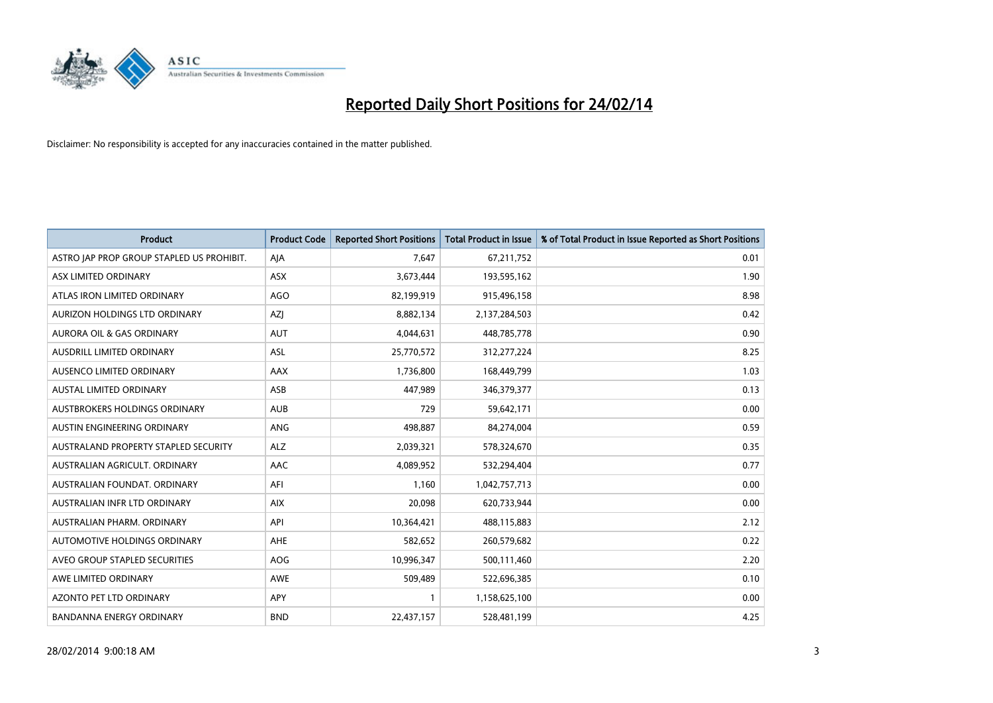

| <b>Product</b>                            | <b>Product Code</b> | <b>Reported Short Positions</b> | <b>Total Product in Issue</b> | % of Total Product in Issue Reported as Short Positions |
|-------------------------------------------|---------------------|---------------------------------|-------------------------------|---------------------------------------------------------|
| ASTRO JAP PROP GROUP STAPLED US PROHIBIT. | AJA                 | 7,647                           | 67,211,752                    | 0.01                                                    |
| ASX LIMITED ORDINARY                      | ASX                 | 3,673,444                       | 193,595,162                   | 1.90                                                    |
| ATLAS IRON LIMITED ORDINARY               | <b>AGO</b>          | 82,199,919                      | 915,496,158                   | 8.98                                                    |
| AURIZON HOLDINGS LTD ORDINARY             | AZJ                 | 8,882,134                       | 2,137,284,503                 | 0.42                                                    |
| <b>AURORA OIL &amp; GAS ORDINARY</b>      | <b>AUT</b>          | 4,044,631                       | 448,785,778                   | 0.90                                                    |
| AUSDRILL LIMITED ORDINARY                 | ASL                 | 25,770,572                      | 312,277,224                   | 8.25                                                    |
| AUSENCO LIMITED ORDINARY                  | AAX                 | 1,736,800                       | 168,449,799                   | 1.03                                                    |
| AUSTAL LIMITED ORDINARY                   | ASB                 | 447,989                         | 346,379,377                   | 0.13                                                    |
| AUSTBROKERS HOLDINGS ORDINARY             | <b>AUB</b>          | 729                             | 59,642,171                    | 0.00                                                    |
| AUSTIN ENGINEERING ORDINARY               | ANG                 | 498,887                         | 84,274,004                    | 0.59                                                    |
| AUSTRALAND PROPERTY STAPLED SECURITY      | <b>ALZ</b>          | 2,039,321                       | 578,324,670                   | 0.35                                                    |
| AUSTRALIAN AGRICULT, ORDINARY             | AAC                 | 4,089,952                       | 532,294,404                   | 0.77                                                    |
| AUSTRALIAN FOUNDAT. ORDINARY              | AFI                 | 1,160                           | 1,042,757,713                 | 0.00                                                    |
| AUSTRALIAN INFR LTD ORDINARY              | <b>AIX</b>          | 20,098                          | 620,733,944                   | 0.00                                                    |
| AUSTRALIAN PHARM, ORDINARY                | API                 | 10,364,421                      | 488,115,883                   | 2.12                                                    |
| AUTOMOTIVE HOLDINGS ORDINARY              | AHE                 | 582,652                         | 260,579,682                   | 0.22                                                    |
| AVEO GROUP STAPLED SECURITIES             | AOG                 | 10,996,347                      | 500,111,460                   | 2.20                                                    |
| AWE LIMITED ORDINARY                      | AWE                 | 509,489                         | 522,696,385                   | 0.10                                                    |
| <b>AZONTO PET LTD ORDINARY</b>            | <b>APY</b>          | 1                               | 1,158,625,100                 | 0.00                                                    |
| <b>BANDANNA ENERGY ORDINARY</b>           | <b>BND</b>          | 22,437,157                      | 528,481,199                   | 4.25                                                    |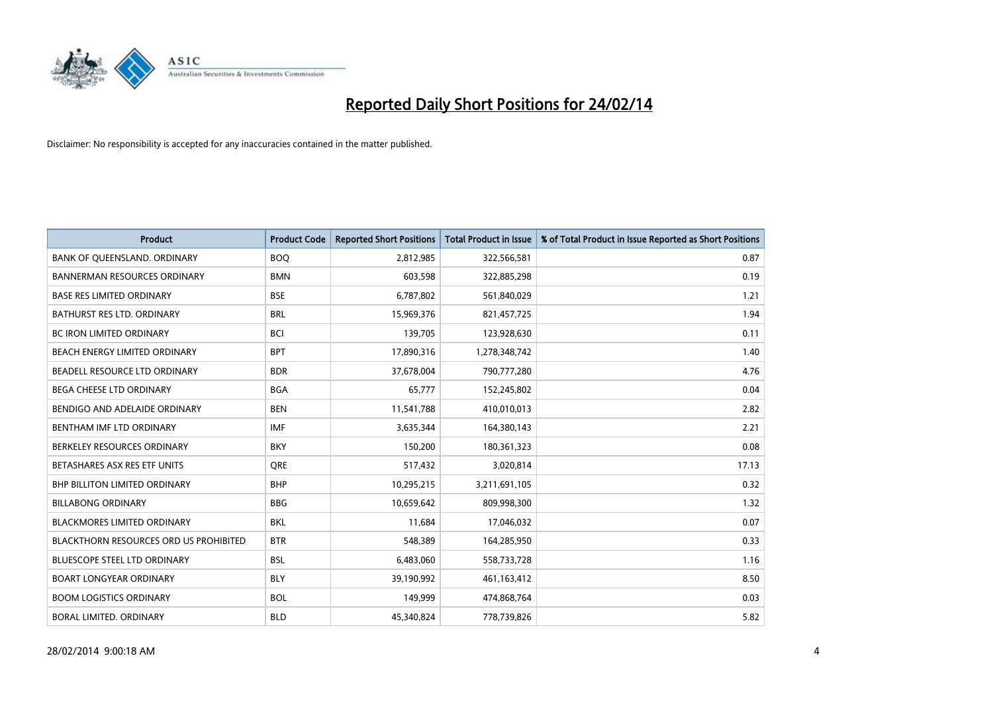

| <b>Product</b>                         | <b>Product Code</b> | <b>Reported Short Positions</b> | <b>Total Product in Issue</b> | % of Total Product in Issue Reported as Short Positions |
|----------------------------------------|---------------------|---------------------------------|-------------------------------|---------------------------------------------------------|
| BANK OF QUEENSLAND. ORDINARY           | <b>BOO</b>          | 2,812,985                       | 322,566,581                   | 0.87                                                    |
| <b>BANNERMAN RESOURCES ORDINARY</b>    | <b>BMN</b>          | 603,598                         | 322,885,298                   | 0.19                                                    |
| <b>BASE RES LIMITED ORDINARY</b>       | <b>BSE</b>          | 6,787,802                       | 561,840,029                   | 1.21                                                    |
| BATHURST RES LTD. ORDINARY             | <b>BRL</b>          | 15,969,376                      | 821,457,725                   | 1.94                                                    |
| <b>BC IRON LIMITED ORDINARY</b>        | <b>BCI</b>          | 139,705                         | 123,928,630                   | 0.11                                                    |
| BEACH ENERGY LIMITED ORDINARY          | <b>BPT</b>          | 17,890,316                      | 1,278,348,742                 | 1.40                                                    |
| BEADELL RESOURCE LTD ORDINARY          | <b>BDR</b>          | 37,678,004                      | 790,777,280                   | 4.76                                                    |
| <b>BEGA CHEESE LTD ORDINARY</b>        | <b>BGA</b>          | 65.777                          | 152,245,802                   | 0.04                                                    |
| BENDIGO AND ADELAIDE ORDINARY          | <b>BEN</b>          | 11,541,788                      | 410,010,013                   | 2.82                                                    |
| BENTHAM IMF LTD ORDINARY               | <b>IMF</b>          | 3,635,344                       | 164,380,143                   | 2.21                                                    |
| BERKELEY RESOURCES ORDINARY            | <b>BKY</b>          | 150,200                         | 180,361,323                   | 0.08                                                    |
| BETASHARES ASX RES ETF UNITS           | <b>ORE</b>          | 517,432                         | 3,020,814                     | 17.13                                                   |
| <b>BHP BILLITON LIMITED ORDINARY</b>   | <b>BHP</b>          | 10,295,215                      | 3,211,691,105                 | 0.32                                                    |
| <b>BILLABONG ORDINARY</b>              | <b>BBG</b>          | 10,659,642                      | 809,998,300                   | 1.32                                                    |
| <b>BLACKMORES LIMITED ORDINARY</b>     | <b>BKL</b>          | 11,684                          | 17,046,032                    | 0.07                                                    |
| BLACKTHORN RESOURCES ORD US PROHIBITED | <b>BTR</b>          | 548,389                         | 164,285,950                   | 0.33                                                    |
| BLUESCOPE STEEL LTD ORDINARY           | <b>BSL</b>          | 6,483,060                       | 558,733,728                   | 1.16                                                    |
| <b>BOART LONGYEAR ORDINARY</b>         | <b>BLY</b>          | 39,190,992                      | 461,163,412                   | 8.50                                                    |
| <b>BOOM LOGISTICS ORDINARY</b>         | <b>BOL</b>          | 149,999                         | 474,868,764                   | 0.03                                                    |
| BORAL LIMITED. ORDINARY                | <b>BLD</b>          | 45,340,824                      | 778,739,826                   | 5.82                                                    |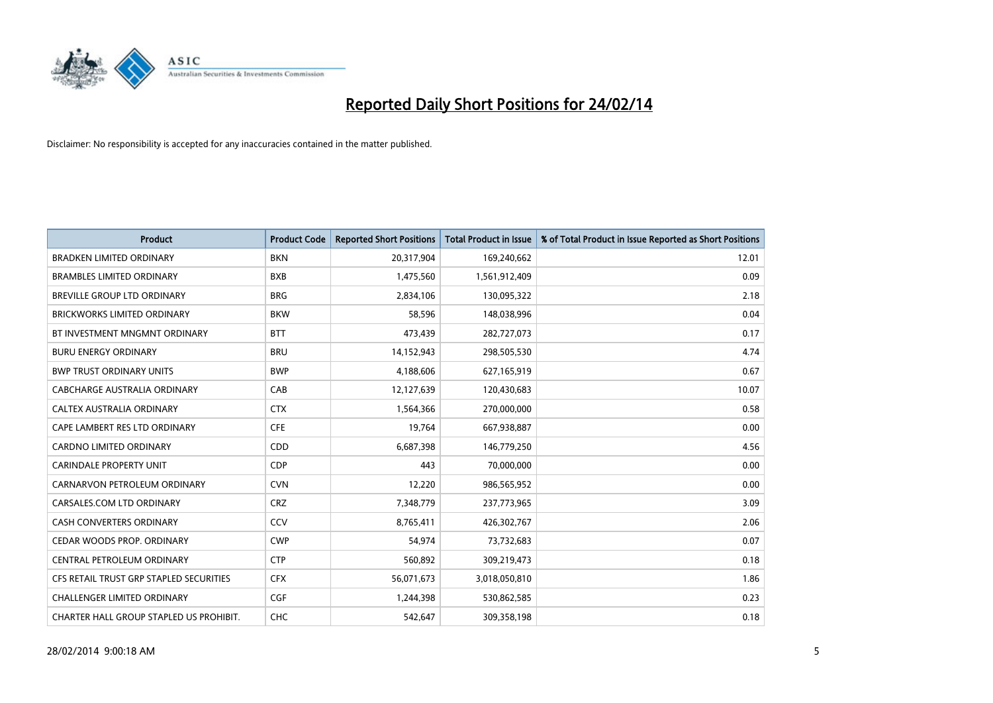

| <b>Product</b>                          | <b>Product Code</b> | <b>Reported Short Positions</b> | <b>Total Product in Issue</b> | % of Total Product in Issue Reported as Short Positions |
|-----------------------------------------|---------------------|---------------------------------|-------------------------------|---------------------------------------------------------|
| <b>BRADKEN LIMITED ORDINARY</b>         | <b>BKN</b>          | 20,317,904                      | 169,240,662                   | 12.01                                                   |
| <b>BRAMBLES LIMITED ORDINARY</b>        | <b>BXB</b>          | 1,475,560                       | 1,561,912,409                 | 0.09                                                    |
| <b>BREVILLE GROUP LTD ORDINARY</b>      | <b>BRG</b>          | 2,834,106                       | 130,095,322                   | 2.18                                                    |
| BRICKWORKS LIMITED ORDINARY             | <b>BKW</b>          | 58,596                          | 148,038,996                   | 0.04                                                    |
| BT INVESTMENT MNGMNT ORDINARY           | <b>BTT</b>          | 473,439                         | 282,727,073                   | 0.17                                                    |
| <b>BURU ENERGY ORDINARY</b>             | <b>BRU</b>          | 14,152,943                      | 298,505,530                   | 4.74                                                    |
| <b>BWP TRUST ORDINARY UNITS</b>         | <b>BWP</b>          | 4,188,606                       | 627,165,919                   | 0.67                                                    |
| <b>CABCHARGE AUSTRALIA ORDINARY</b>     | CAB                 | 12,127,639                      | 120,430,683                   | 10.07                                                   |
| CALTEX AUSTRALIA ORDINARY               | <b>CTX</b>          | 1,564,366                       | 270,000,000                   | 0.58                                                    |
| CAPE LAMBERT RES LTD ORDINARY           | <b>CFE</b>          | 19,764                          | 667,938,887                   | 0.00                                                    |
| <b>CARDNO LIMITED ORDINARY</b>          | CDD                 | 6,687,398                       | 146,779,250                   | 4.56                                                    |
| <b>CARINDALE PROPERTY UNIT</b>          | <b>CDP</b>          | 443                             | 70,000,000                    | 0.00                                                    |
| CARNARVON PETROLEUM ORDINARY            | <b>CVN</b>          | 12,220                          | 986,565,952                   | 0.00                                                    |
| CARSALES.COM LTD ORDINARY               | <b>CRZ</b>          | 7,348,779                       | 237,773,965                   | 3.09                                                    |
| <b>CASH CONVERTERS ORDINARY</b>         | CCV                 | 8,765,411                       | 426,302,767                   | 2.06                                                    |
| CEDAR WOODS PROP. ORDINARY              | <b>CWP</b>          | 54,974                          | 73,732,683                    | 0.07                                                    |
| CENTRAL PETROLEUM ORDINARY              | <b>CTP</b>          | 560,892                         | 309,219,473                   | 0.18                                                    |
| CFS RETAIL TRUST GRP STAPLED SECURITIES | <b>CFX</b>          | 56,071,673                      | 3,018,050,810                 | 1.86                                                    |
| <b>CHALLENGER LIMITED ORDINARY</b>      | <b>CGF</b>          | 1,244,398                       | 530,862,585                   | 0.23                                                    |
| CHARTER HALL GROUP STAPLED US PROHIBIT. | <b>CHC</b>          | 542,647                         | 309,358,198                   | 0.18                                                    |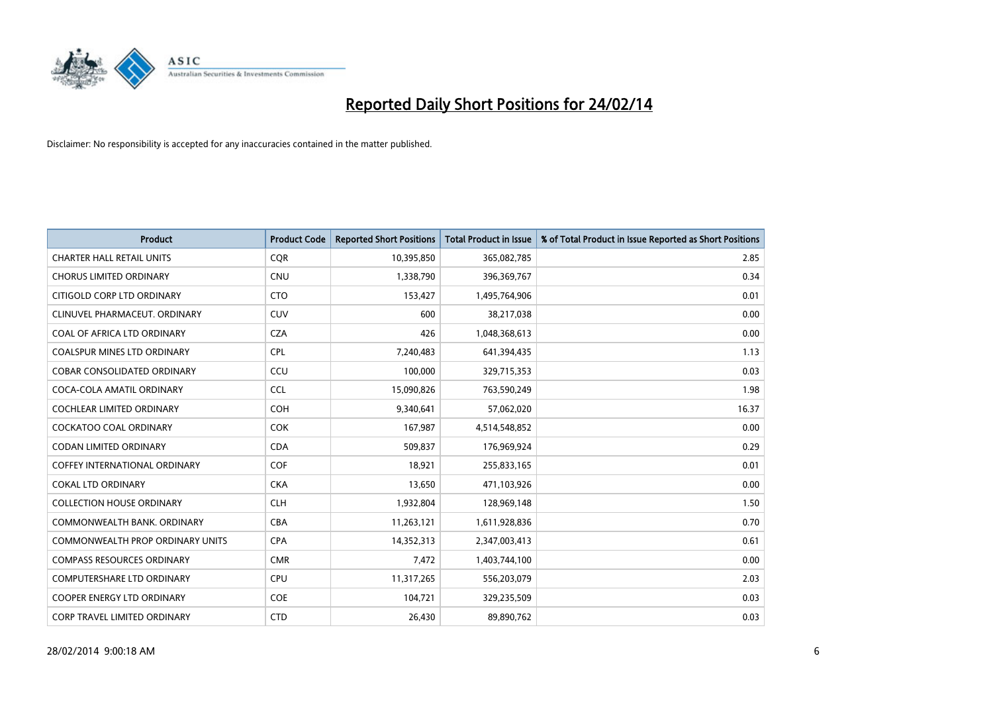

| <b>Product</b>                          | <b>Product Code</b> | <b>Reported Short Positions</b> | <b>Total Product in Issue</b> | % of Total Product in Issue Reported as Short Positions |
|-----------------------------------------|---------------------|---------------------------------|-------------------------------|---------------------------------------------------------|
| <b>CHARTER HALL RETAIL UNITS</b>        | <b>COR</b>          | 10,395,850                      | 365,082,785                   | 2.85                                                    |
| <b>CHORUS LIMITED ORDINARY</b>          | <b>CNU</b>          | 1,338,790                       | 396,369,767                   | 0.34                                                    |
| CITIGOLD CORP LTD ORDINARY              | <b>CTO</b>          | 153,427                         | 1,495,764,906                 | 0.01                                                    |
| CLINUVEL PHARMACEUT. ORDINARY           | <b>CUV</b>          | 600                             | 38,217,038                    | 0.00                                                    |
| COAL OF AFRICA LTD ORDINARY             | <b>CZA</b>          | 426                             | 1,048,368,613                 | 0.00                                                    |
| <b>COALSPUR MINES LTD ORDINARY</b>      | <b>CPL</b>          | 7,240,483                       | 641,394,435                   | 1.13                                                    |
| <b>COBAR CONSOLIDATED ORDINARY</b>      | CCU                 | 100,000                         | 329,715,353                   | 0.03                                                    |
| COCA-COLA AMATIL ORDINARY               | <b>CCL</b>          | 15,090,826                      | 763,590,249                   | 1.98                                                    |
| <b>COCHLEAR LIMITED ORDINARY</b>        | <b>COH</b>          | 9,340,641                       | 57,062,020                    | 16.37                                                   |
| <b>COCKATOO COAL ORDINARY</b>           | <b>COK</b>          | 167,987                         | 4,514,548,852                 | 0.00                                                    |
| CODAN LIMITED ORDINARY                  | <b>CDA</b>          | 509,837                         | 176,969,924                   | 0.29                                                    |
| <b>COFFEY INTERNATIONAL ORDINARY</b>    | <b>COF</b>          | 18,921                          | 255,833,165                   | 0.01                                                    |
| <b>COKAL LTD ORDINARY</b>               | <b>CKA</b>          | 13,650                          | 471,103,926                   | 0.00                                                    |
| <b>COLLECTION HOUSE ORDINARY</b>        | <b>CLH</b>          | 1,932,804                       | 128,969,148                   | 1.50                                                    |
| COMMONWEALTH BANK, ORDINARY             | <b>CBA</b>          | 11,263,121                      | 1,611,928,836                 | 0.70                                                    |
| <b>COMMONWEALTH PROP ORDINARY UNITS</b> | <b>CPA</b>          | 14,352,313                      | 2,347,003,413                 | 0.61                                                    |
| <b>COMPASS RESOURCES ORDINARY</b>       | <b>CMR</b>          | 7,472                           | 1,403,744,100                 | 0.00                                                    |
| COMPUTERSHARE LTD ORDINARY              | <b>CPU</b>          | 11,317,265                      | 556,203,079                   | 2.03                                                    |
| <b>COOPER ENERGY LTD ORDINARY</b>       | <b>COE</b>          | 104,721                         | 329,235,509                   | 0.03                                                    |
| CORP TRAVEL LIMITED ORDINARY            | <b>CTD</b>          | 26,430                          | 89,890,762                    | 0.03                                                    |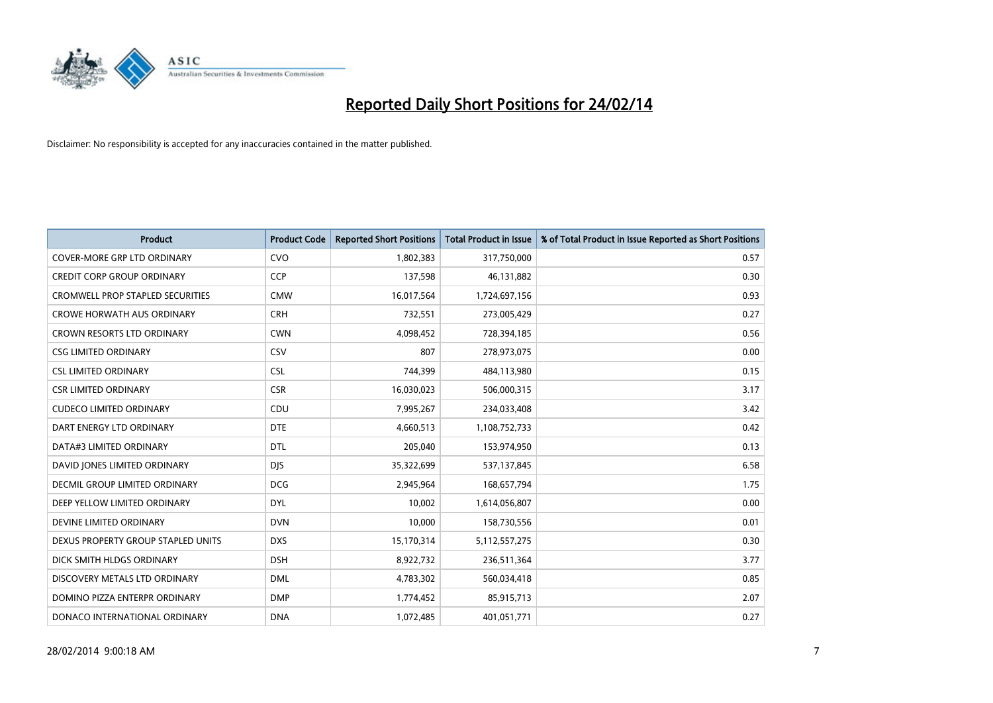

| <b>Product</b>                          | <b>Product Code</b> | <b>Reported Short Positions</b> | <b>Total Product in Issue</b> | % of Total Product in Issue Reported as Short Positions |
|-----------------------------------------|---------------------|---------------------------------|-------------------------------|---------------------------------------------------------|
| <b>COVER-MORE GRP LTD ORDINARY</b>      | <b>CVO</b>          | 1,802,383                       | 317,750,000                   | 0.57                                                    |
| <b>CREDIT CORP GROUP ORDINARY</b>       | <b>CCP</b>          | 137,598                         | 46,131,882                    | 0.30                                                    |
| <b>CROMWELL PROP STAPLED SECURITIES</b> | <b>CMW</b>          | 16,017,564                      | 1,724,697,156                 | 0.93                                                    |
| <b>CROWE HORWATH AUS ORDINARY</b>       | <b>CRH</b>          | 732,551                         | 273,005,429                   | 0.27                                                    |
| <b>CROWN RESORTS LTD ORDINARY</b>       | <b>CWN</b>          | 4,098,452                       | 728,394,185                   | 0.56                                                    |
| <b>CSG LIMITED ORDINARY</b>             | CSV                 | 807                             | 278,973,075                   | 0.00                                                    |
| <b>CSL LIMITED ORDINARY</b>             | <b>CSL</b>          | 744,399                         | 484,113,980                   | 0.15                                                    |
| <b>CSR LIMITED ORDINARY</b>             | <b>CSR</b>          | 16,030,023                      | 506,000,315                   | 3.17                                                    |
| <b>CUDECO LIMITED ORDINARY</b>          | CDU                 | 7,995,267                       | 234,033,408                   | 3.42                                                    |
| DART ENERGY LTD ORDINARY                | <b>DTE</b>          | 4,660,513                       | 1,108,752,733                 | 0.42                                                    |
| DATA#3 LIMITED ORDINARY                 | <b>DTL</b>          | 205,040                         | 153,974,950                   | 0.13                                                    |
| DAVID JONES LIMITED ORDINARY            | <b>DJS</b>          | 35,322,699                      | 537,137,845                   | 6.58                                                    |
| <b>DECMIL GROUP LIMITED ORDINARY</b>    | <b>DCG</b>          | 2,945,964                       | 168,657,794                   | 1.75                                                    |
| DEEP YELLOW LIMITED ORDINARY            | <b>DYL</b>          | 10,002                          | 1,614,056,807                 | 0.00                                                    |
| DEVINE LIMITED ORDINARY                 | <b>DVN</b>          | 10,000                          | 158,730,556                   | 0.01                                                    |
| DEXUS PROPERTY GROUP STAPLED UNITS      | <b>DXS</b>          | 15,170,314                      | 5,112,557,275                 | 0.30                                                    |
| DICK SMITH HLDGS ORDINARY               | <b>DSH</b>          | 8,922,732                       | 236,511,364                   | 3.77                                                    |
| DISCOVERY METALS LTD ORDINARY           | <b>DML</b>          | 4,783,302                       | 560,034,418                   | 0.85                                                    |
| DOMINO PIZZA ENTERPR ORDINARY           | <b>DMP</b>          | 1,774,452                       | 85,915,713                    | 2.07                                                    |
| DONACO INTERNATIONAL ORDINARY           | <b>DNA</b>          | 1,072,485                       | 401,051,771                   | 0.27                                                    |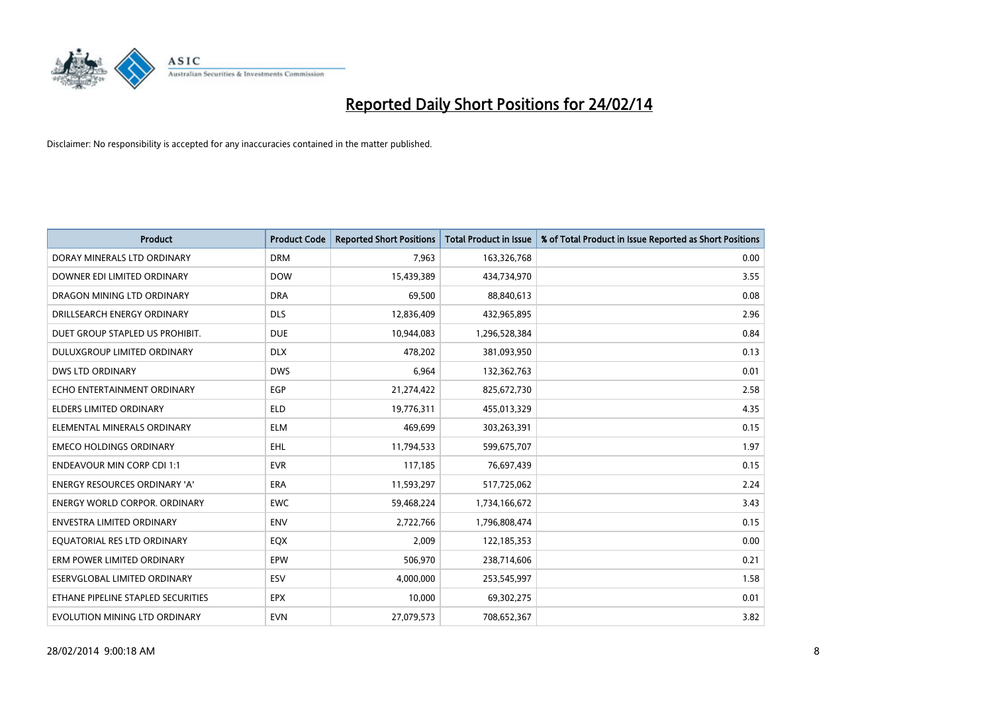

| <b>Product</b>                       | <b>Product Code</b> | <b>Reported Short Positions</b> | <b>Total Product in Issue</b> | % of Total Product in Issue Reported as Short Positions |
|--------------------------------------|---------------------|---------------------------------|-------------------------------|---------------------------------------------------------|
| DORAY MINERALS LTD ORDINARY          | <b>DRM</b>          | 7,963                           | 163,326,768                   | 0.00                                                    |
| DOWNER EDI LIMITED ORDINARY          | <b>DOW</b>          | 15,439,389                      | 434,734,970                   | 3.55                                                    |
| DRAGON MINING LTD ORDINARY           | <b>DRA</b>          | 69,500                          | 88,840,613                    | 0.08                                                    |
| DRILLSEARCH ENERGY ORDINARY          | <b>DLS</b>          | 12,836,409                      | 432,965,895                   | 2.96                                                    |
| DUET GROUP STAPLED US PROHIBIT.      | <b>DUE</b>          | 10,944,083                      | 1,296,528,384                 | 0.84                                                    |
| <b>DULUXGROUP LIMITED ORDINARY</b>   | <b>DLX</b>          | 478,202                         | 381,093,950                   | 0.13                                                    |
| <b>DWS LTD ORDINARY</b>              | <b>DWS</b>          | 6,964                           | 132,362,763                   | 0.01                                                    |
| ECHO ENTERTAINMENT ORDINARY          | <b>EGP</b>          | 21,274,422                      | 825,672,730                   | 2.58                                                    |
| <b>ELDERS LIMITED ORDINARY</b>       | <b>ELD</b>          | 19,776,311                      | 455,013,329                   | 4.35                                                    |
| ELEMENTAL MINERALS ORDINARY          | <b>ELM</b>          | 469,699                         | 303,263,391                   | 0.15                                                    |
| <b>EMECO HOLDINGS ORDINARY</b>       | <b>EHL</b>          | 11,794,533                      | 599,675,707                   | 1.97                                                    |
| <b>ENDEAVOUR MIN CORP CDI 1:1</b>    | <b>EVR</b>          | 117,185                         | 76,697,439                    | 0.15                                                    |
| ENERGY RESOURCES ORDINARY 'A'        | ERA                 | 11,593,297                      | 517,725,062                   | 2.24                                                    |
| <b>ENERGY WORLD CORPOR, ORDINARY</b> | <b>EWC</b>          | 59,468,224                      | 1,734,166,672                 | 3.43                                                    |
| <b>ENVESTRA LIMITED ORDINARY</b>     | <b>ENV</b>          | 2,722,766                       | 1,796,808,474                 | 0.15                                                    |
| EQUATORIAL RES LTD ORDINARY          | EQX                 | 2,009                           | 122,185,353                   | 0.00                                                    |
| ERM POWER LIMITED ORDINARY           | <b>EPW</b>          | 506,970                         | 238,714,606                   | 0.21                                                    |
| <b>ESERVGLOBAL LIMITED ORDINARY</b>  | ESV                 | 4,000,000                       | 253,545,997                   | 1.58                                                    |
| ETHANE PIPELINE STAPLED SECURITIES   | <b>EPX</b>          | 10,000                          | 69,302,275                    | 0.01                                                    |
| EVOLUTION MINING LTD ORDINARY        | <b>EVN</b>          | 27,079,573                      | 708,652,367                   | 3.82                                                    |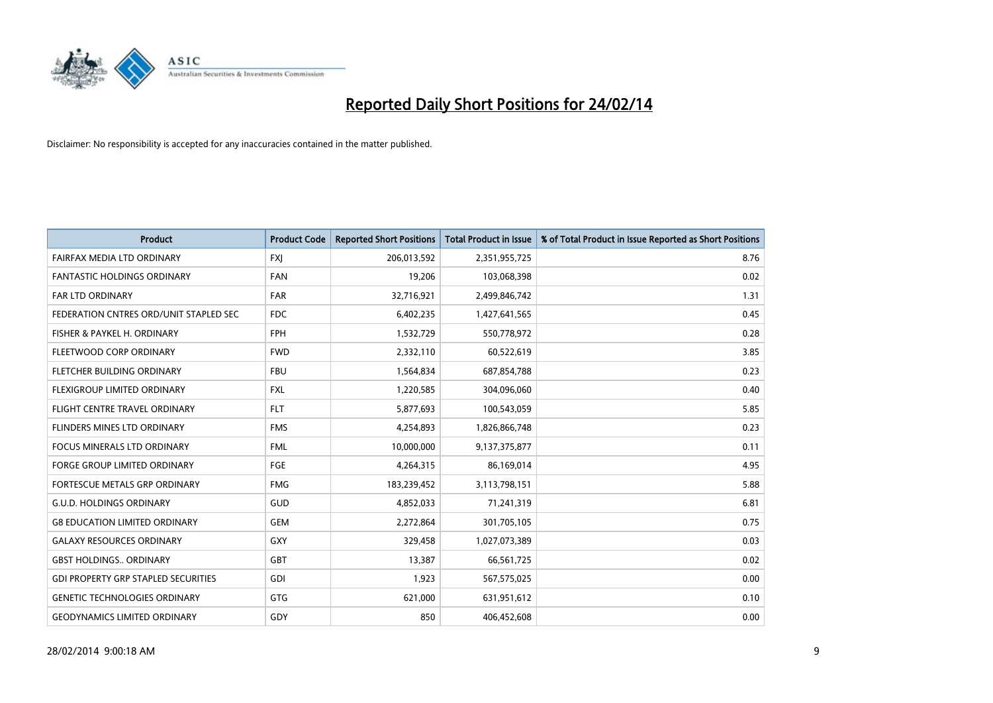

| <b>Product</b>                             | <b>Product Code</b> | <b>Reported Short Positions</b> | <b>Total Product in Issue</b> | % of Total Product in Issue Reported as Short Positions |
|--------------------------------------------|---------------------|---------------------------------|-------------------------------|---------------------------------------------------------|
| FAIRFAX MEDIA LTD ORDINARY                 | <b>FXI</b>          | 206,013,592                     | 2,351,955,725                 | 8.76                                                    |
| <b>FANTASTIC HOLDINGS ORDINARY</b>         | <b>FAN</b>          | 19,206                          | 103,068,398                   | 0.02                                                    |
| <b>FAR LTD ORDINARY</b>                    | <b>FAR</b>          | 32,716,921                      | 2,499,846,742                 | 1.31                                                    |
| FEDERATION CNTRES ORD/UNIT STAPLED SEC     | <b>FDC</b>          | 6,402,235                       | 1,427,641,565                 | 0.45                                                    |
| FISHER & PAYKEL H. ORDINARY                | <b>FPH</b>          | 1,532,729                       | 550,778,972                   | 0.28                                                    |
| FLEETWOOD CORP ORDINARY                    | <b>FWD</b>          | 2,332,110                       | 60,522,619                    | 3.85                                                    |
| FLETCHER BUILDING ORDINARY                 | <b>FBU</b>          | 1,564,834                       | 687,854,788                   | 0.23                                                    |
| FLEXIGROUP LIMITED ORDINARY                | <b>FXL</b>          | 1,220,585                       | 304,096,060                   | 0.40                                                    |
| FLIGHT CENTRE TRAVEL ORDINARY              | <b>FLT</b>          | 5,877,693                       | 100,543,059                   | 5.85                                                    |
| FLINDERS MINES LTD ORDINARY                | <b>FMS</b>          | 4,254,893                       | 1,826,866,748                 | 0.23                                                    |
| FOCUS MINERALS LTD ORDINARY                | <b>FML</b>          | 10,000,000                      | 9,137,375,877                 | 0.11                                                    |
| <b>FORGE GROUP LIMITED ORDINARY</b>        | FGE                 | 4,264,315                       | 86,169,014                    | 4.95                                                    |
| FORTESCUE METALS GRP ORDINARY              | <b>FMG</b>          | 183,239,452                     | 3,113,798,151                 | 5.88                                                    |
| <b>G.U.D. HOLDINGS ORDINARY</b>            | GUD                 | 4,852,033                       | 71,241,319                    | 6.81                                                    |
| <b>G8 EDUCATION LIMITED ORDINARY</b>       | <b>GEM</b>          | 2,272,864                       | 301,705,105                   | 0.75                                                    |
| <b>GALAXY RESOURCES ORDINARY</b>           | GXY                 | 329,458                         | 1,027,073,389                 | 0.03                                                    |
| <b>GBST HOLDINGS ORDINARY</b>              | GBT                 | 13,387                          | 66,561,725                    | 0.02                                                    |
| <b>GDI PROPERTY GRP STAPLED SECURITIES</b> | GDI                 | 1,923                           | 567,575,025                   | 0.00                                                    |
| <b>GENETIC TECHNOLOGIES ORDINARY</b>       | GTG                 | 621,000                         | 631,951,612                   | 0.10                                                    |
| <b>GEODYNAMICS LIMITED ORDINARY</b>        | GDY                 | 850                             | 406,452,608                   | 0.00                                                    |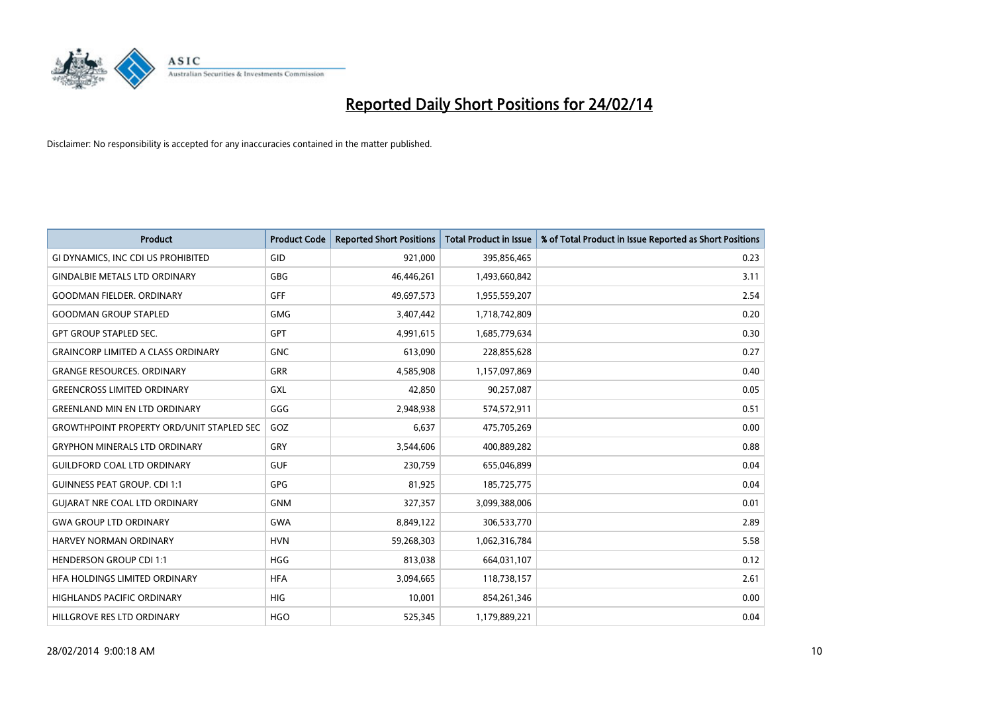

| <b>Product</b>                                   | <b>Product Code</b> | <b>Reported Short Positions</b> | <b>Total Product in Issue</b> | % of Total Product in Issue Reported as Short Positions |
|--------------------------------------------------|---------------------|---------------------------------|-------------------------------|---------------------------------------------------------|
| GI DYNAMICS, INC CDI US PROHIBITED               | GID                 | 921,000                         | 395,856,465                   | 0.23                                                    |
| <b>GINDALBIE METALS LTD ORDINARY</b>             | <b>GBG</b>          | 46,446,261                      | 1,493,660,842                 | 3.11                                                    |
| <b>GOODMAN FIELDER, ORDINARY</b>                 | <b>GFF</b>          | 49,697,573                      | 1,955,559,207                 | 2.54                                                    |
| <b>GOODMAN GROUP STAPLED</b>                     | <b>GMG</b>          | 3,407,442                       | 1,718,742,809                 | 0.20                                                    |
| <b>GPT GROUP STAPLED SEC.</b>                    | <b>GPT</b>          | 4,991,615                       | 1,685,779,634                 | 0.30                                                    |
| <b>GRAINCORP LIMITED A CLASS ORDINARY</b>        | <b>GNC</b>          | 613,090                         | 228,855,628                   | 0.27                                                    |
| <b>GRANGE RESOURCES. ORDINARY</b>                | GRR                 | 4,585,908                       | 1,157,097,869                 | 0.40                                                    |
| <b>GREENCROSS LIMITED ORDINARY</b>               | GXL                 | 42,850                          | 90,257,087                    | 0.05                                                    |
| <b>GREENLAND MIN EN LTD ORDINARY</b>             | GGG                 | 2,948,938                       | 574,572,911                   | 0.51                                                    |
| <b>GROWTHPOINT PROPERTY ORD/UNIT STAPLED SEC</b> | GOZ                 | 6,637                           | 475,705,269                   | 0.00                                                    |
| <b>GRYPHON MINERALS LTD ORDINARY</b>             | <b>GRY</b>          | 3,544,606                       | 400,889,282                   | 0.88                                                    |
| <b>GUILDFORD COAL LTD ORDINARY</b>               | <b>GUF</b>          | 230,759                         | 655,046,899                   | 0.04                                                    |
| <b>GUINNESS PEAT GROUP. CDI 1:1</b>              | <b>GPG</b>          | 81,925                          | 185,725,775                   | 0.04                                                    |
| <b>GUIARAT NRE COAL LTD ORDINARY</b>             | <b>GNM</b>          | 327,357                         | 3,099,388,006                 | 0.01                                                    |
| <b>GWA GROUP LTD ORDINARY</b>                    | <b>GWA</b>          | 8,849,122                       | 306,533,770                   | 2.89                                                    |
| HARVEY NORMAN ORDINARY                           | <b>HVN</b>          | 59,268,303                      | 1,062,316,784                 | 5.58                                                    |
| <b>HENDERSON GROUP CDI 1:1</b>                   | <b>HGG</b>          | 813,038                         | 664,031,107                   | 0.12                                                    |
| HFA HOLDINGS LIMITED ORDINARY                    | <b>HFA</b>          | 3,094,665                       | 118,738,157                   | 2.61                                                    |
| <b>HIGHLANDS PACIFIC ORDINARY</b>                | <b>HIG</b>          | 10,001                          | 854,261,346                   | 0.00                                                    |
| HILLGROVE RES LTD ORDINARY                       | <b>HGO</b>          | 525,345                         | 1,179,889,221                 | 0.04                                                    |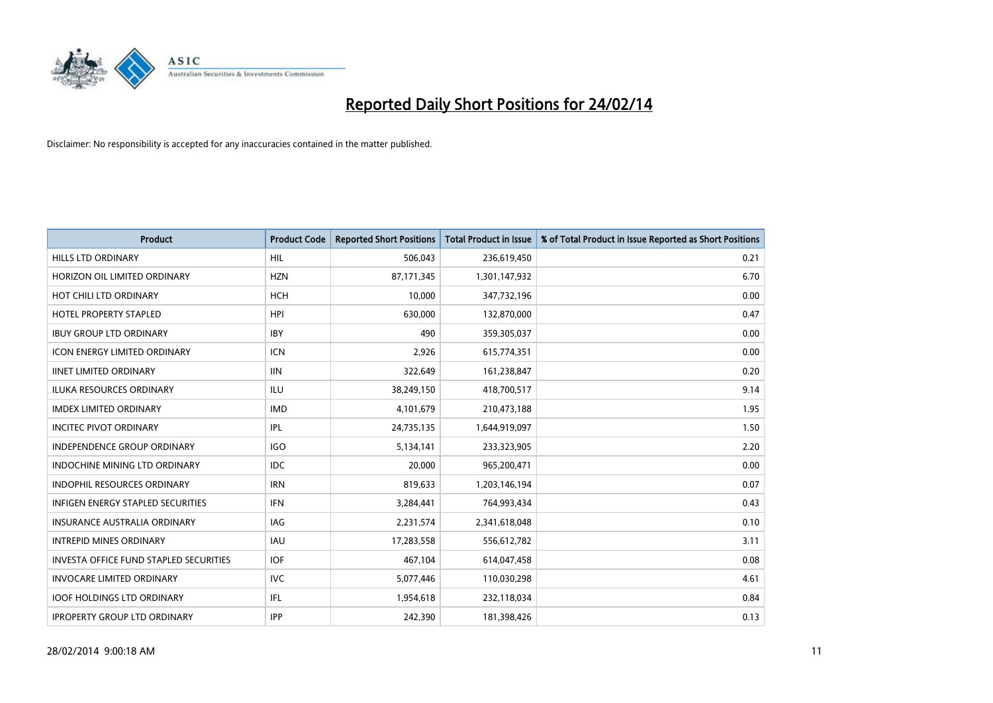

| <b>Product</b>                                | <b>Product Code</b> | <b>Reported Short Positions</b> | <b>Total Product in Issue</b> | % of Total Product in Issue Reported as Short Positions |
|-----------------------------------------------|---------------------|---------------------------------|-------------------------------|---------------------------------------------------------|
| <b>HILLS LTD ORDINARY</b>                     | HIL                 | 506,043                         | 236,619,450                   | 0.21                                                    |
| HORIZON OIL LIMITED ORDINARY                  | <b>HZN</b>          | 87,171,345                      | 1,301,147,932                 | 6.70                                                    |
| HOT CHILI LTD ORDINARY                        | <b>HCH</b>          | 10,000                          | 347,732,196                   | 0.00                                                    |
| <b>HOTEL PROPERTY STAPLED</b>                 | <b>HPI</b>          | 630,000                         | 132,870,000                   | 0.47                                                    |
| <b>IBUY GROUP LTD ORDINARY</b>                | <b>IBY</b>          | 490                             | 359,305,037                   | 0.00                                                    |
| <b>ICON ENERGY LIMITED ORDINARY</b>           | <b>ICN</b>          | 2,926                           | 615,774,351                   | 0.00                                                    |
| <b>IINET LIMITED ORDINARY</b>                 | <b>IIN</b>          | 322,649                         | 161,238,847                   | 0.20                                                    |
| ILUKA RESOURCES ORDINARY                      | ILU                 | 38,249,150                      | 418,700,517                   | 9.14                                                    |
| <b>IMDEX LIMITED ORDINARY</b>                 | <b>IMD</b>          | 4,101,679                       | 210,473,188                   | 1.95                                                    |
| <b>INCITEC PIVOT ORDINARY</b>                 | IPL                 | 24,735,135                      | 1,644,919,097                 | 1.50                                                    |
| INDEPENDENCE GROUP ORDINARY                   | <b>IGO</b>          | 5,134,141                       | 233,323,905                   | 2.20                                                    |
| <b>INDOCHINE MINING LTD ORDINARY</b>          | <b>IDC</b>          | 20,000                          | 965,200,471                   | 0.00                                                    |
| <b>INDOPHIL RESOURCES ORDINARY</b>            | <b>IRN</b>          | 819,633                         | 1,203,146,194                 | 0.07                                                    |
| <b>INFIGEN ENERGY STAPLED SECURITIES</b>      | <b>IFN</b>          | 3,284,441                       | 764,993,434                   | 0.43                                                    |
| <b>INSURANCE AUSTRALIA ORDINARY</b>           | IAG                 | 2,231,574                       | 2,341,618,048                 | 0.10                                                    |
| <b>INTREPID MINES ORDINARY</b>                | <b>IAU</b>          | 17,283,558                      | 556,612,782                   | 3.11                                                    |
| <b>INVESTA OFFICE FUND STAPLED SECURITIES</b> | <b>IOF</b>          | 467,104                         | 614,047,458                   | 0.08                                                    |
| <b>INVOCARE LIMITED ORDINARY</b>              | <b>IVC</b>          | 5,077,446                       | 110,030,298                   | 4.61                                                    |
| <b>IOOF HOLDINGS LTD ORDINARY</b>             | IFL                 | 1,954,618                       | 232,118,034                   | 0.84                                                    |
| <b>IPROPERTY GROUP LTD ORDINARY</b>           | <b>IPP</b>          | 242,390                         | 181,398,426                   | 0.13                                                    |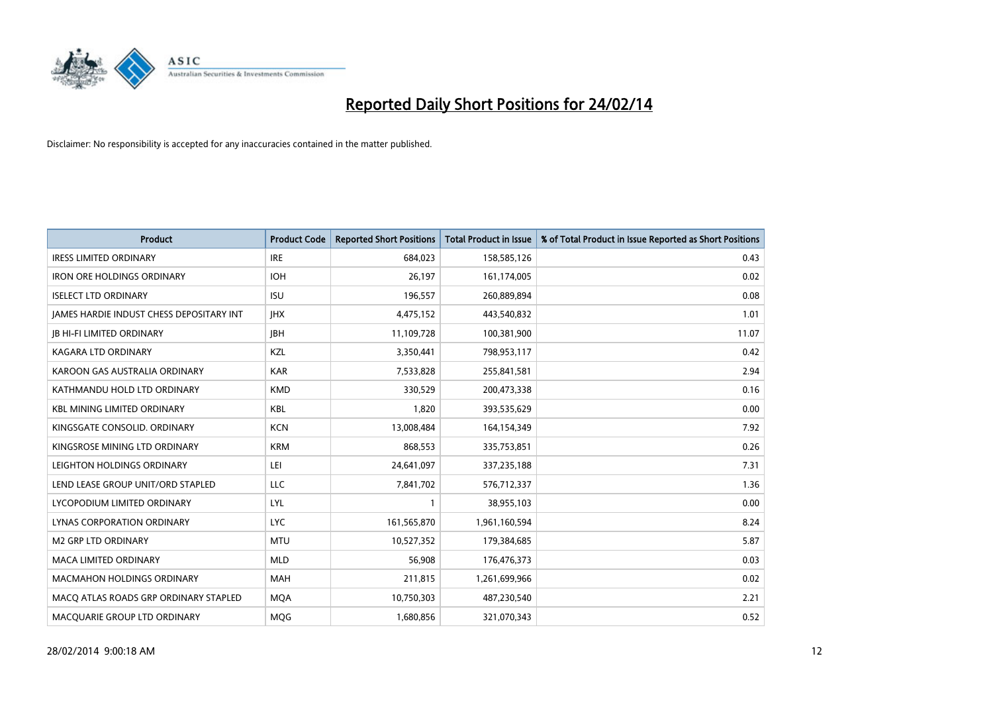

| <b>Product</b>                           | <b>Product Code</b> | <b>Reported Short Positions</b> | <b>Total Product in Issue</b> | % of Total Product in Issue Reported as Short Positions |
|------------------------------------------|---------------------|---------------------------------|-------------------------------|---------------------------------------------------------|
| <b>IRESS LIMITED ORDINARY</b>            | <b>IRE</b>          | 684.023                         | 158,585,126                   | 0.43                                                    |
| <b>IRON ORE HOLDINGS ORDINARY</b>        | <b>IOH</b>          | 26,197                          | 161,174,005                   | 0.02                                                    |
| <b>ISELECT LTD ORDINARY</b>              | <b>ISU</b>          | 196,557                         | 260,889,894                   | 0.08                                                    |
| JAMES HARDIE INDUST CHESS DEPOSITARY INT | <b>IHX</b>          | 4,475,152                       | 443,540,832                   | 1.01                                                    |
| <b>JB HI-FI LIMITED ORDINARY</b>         | <b>IBH</b>          | 11,109,728                      | 100,381,900                   | 11.07                                                   |
| <b>KAGARA LTD ORDINARY</b>               | KZL                 | 3,350,441                       | 798,953,117                   | 0.42                                                    |
| KAROON GAS AUSTRALIA ORDINARY            | <b>KAR</b>          | 7,533,828                       | 255,841,581                   | 2.94                                                    |
| KATHMANDU HOLD LTD ORDINARY              | <b>KMD</b>          | 330,529                         | 200,473,338                   | 0.16                                                    |
| <b>KBL MINING LIMITED ORDINARY</b>       | <b>KBL</b>          | 1,820                           | 393,535,629                   | 0.00                                                    |
| KINGSGATE CONSOLID. ORDINARY             | <b>KCN</b>          | 13,008,484                      | 164,154,349                   | 7.92                                                    |
| KINGSROSE MINING LTD ORDINARY            | <b>KRM</b>          | 868,553                         | 335,753,851                   | 0.26                                                    |
| LEIGHTON HOLDINGS ORDINARY               | LEI                 | 24,641,097                      | 337,235,188                   | 7.31                                                    |
| LEND LEASE GROUP UNIT/ORD STAPLED        | LLC                 | 7,841,702                       | 576,712,337                   | 1.36                                                    |
| LYCOPODIUM LIMITED ORDINARY              | LYL                 | 1                               | 38,955,103                    | 0.00                                                    |
| LYNAS CORPORATION ORDINARY               | <b>LYC</b>          | 161,565,870                     | 1,961,160,594                 | 8.24                                                    |
| M2 GRP LTD ORDINARY                      | <b>MTU</b>          | 10,527,352                      | 179,384,685                   | 5.87                                                    |
| MACA LIMITED ORDINARY                    | <b>MLD</b>          | 56,908                          | 176,476,373                   | 0.03                                                    |
| MACMAHON HOLDINGS ORDINARY               | <b>MAH</b>          | 211,815                         | 1,261,699,966                 | 0.02                                                    |
| MACO ATLAS ROADS GRP ORDINARY STAPLED    | <b>MOA</b>          | 10,750,303                      | 487,230,540                   | 2.21                                                    |
| MACQUARIE GROUP LTD ORDINARY             | <b>MOG</b>          | 1,680,856                       | 321,070,343                   | 0.52                                                    |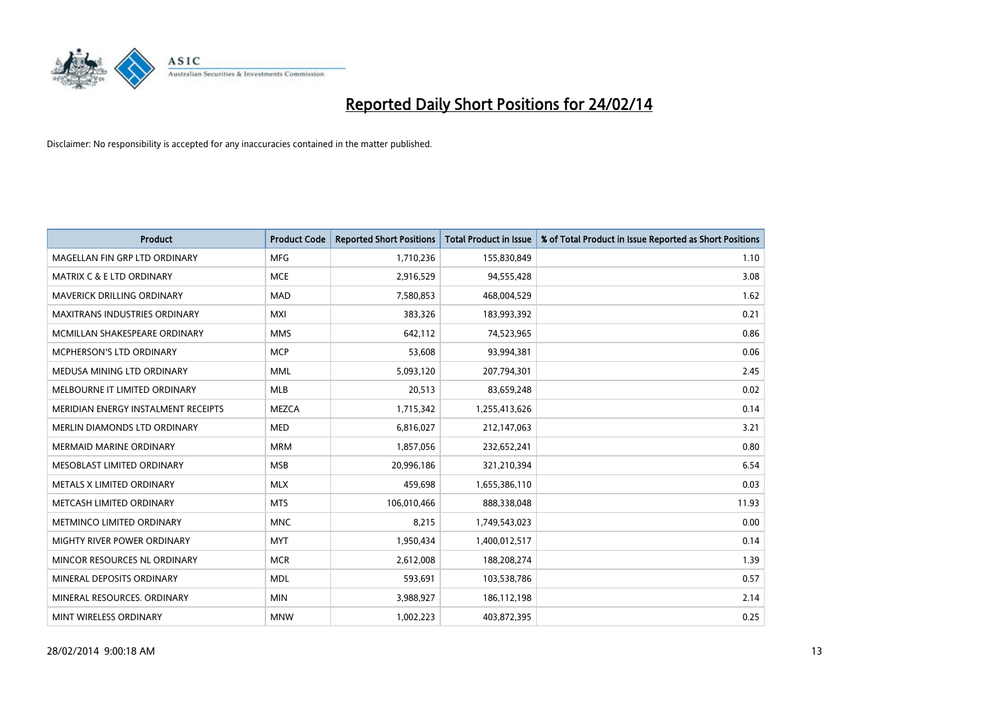

| <b>Product</b>                       | <b>Product Code</b> | <b>Reported Short Positions</b> | <b>Total Product in Issue</b> | % of Total Product in Issue Reported as Short Positions |
|--------------------------------------|---------------------|---------------------------------|-------------------------------|---------------------------------------------------------|
| MAGELLAN FIN GRP LTD ORDINARY        | <b>MFG</b>          | 1,710,236                       | 155,830,849                   | 1.10                                                    |
| <b>MATRIX C &amp; E LTD ORDINARY</b> | <b>MCE</b>          | 2,916,529                       | 94,555,428                    | 3.08                                                    |
| <b>MAVERICK DRILLING ORDINARY</b>    | <b>MAD</b>          | 7,580,853                       | 468,004,529                   | 1.62                                                    |
| <b>MAXITRANS INDUSTRIES ORDINARY</b> | <b>MXI</b>          | 383,326                         | 183,993,392                   | 0.21                                                    |
| MCMILLAN SHAKESPEARE ORDINARY        | <b>MMS</b>          | 642,112                         | 74,523,965                    | 0.86                                                    |
| MCPHERSON'S LTD ORDINARY             | <b>MCP</b>          | 53,608                          | 93,994,381                    | 0.06                                                    |
| MEDUSA MINING LTD ORDINARY           | <b>MML</b>          | 5,093,120                       | 207,794,301                   | 2.45                                                    |
| MELBOURNE IT LIMITED ORDINARY        | <b>MLB</b>          | 20,513                          | 83,659,248                    | 0.02                                                    |
| MERIDIAN ENERGY INSTALMENT RECEIPTS  | <b>MEZCA</b>        | 1,715,342                       | 1,255,413,626                 | 0.14                                                    |
| MERLIN DIAMONDS LTD ORDINARY         | <b>MED</b>          | 6,816,027                       | 212,147,063                   | 3.21                                                    |
| <b>MERMAID MARINE ORDINARY</b>       | <b>MRM</b>          | 1,857,056                       | 232,652,241                   | 0.80                                                    |
| MESOBLAST LIMITED ORDINARY           | <b>MSB</b>          | 20,996,186                      | 321,210,394                   | 6.54                                                    |
| METALS X LIMITED ORDINARY            | <b>MLX</b>          | 459,698                         | 1,655,386,110                 | 0.03                                                    |
| METCASH LIMITED ORDINARY             | <b>MTS</b>          | 106,010,466                     | 888,338,048                   | 11.93                                                   |
| METMINCO LIMITED ORDINARY            | <b>MNC</b>          | 8,215                           | 1,749,543,023                 | 0.00                                                    |
| MIGHTY RIVER POWER ORDINARY          | <b>MYT</b>          | 1,950,434                       | 1,400,012,517                 | 0.14                                                    |
| MINCOR RESOURCES NL ORDINARY         | <b>MCR</b>          | 2,612,008                       | 188,208,274                   | 1.39                                                    |
| MINERAL DEPOSITS ORDINARY            | <b>MDL</b>          | 593,691                         | 103,538,786                   | 0.57                                                    |
| MINERAL RESOURCES, ORDINARY          | <b>MIN</b>          | 3,988,927                       | 186,112,198                   | 2.14                                                    |
| MINT WIRELESS ORDINARY               | <b>MNW</b>          | 1,002,223                       | 403,872,395                   | 0.25                                                    |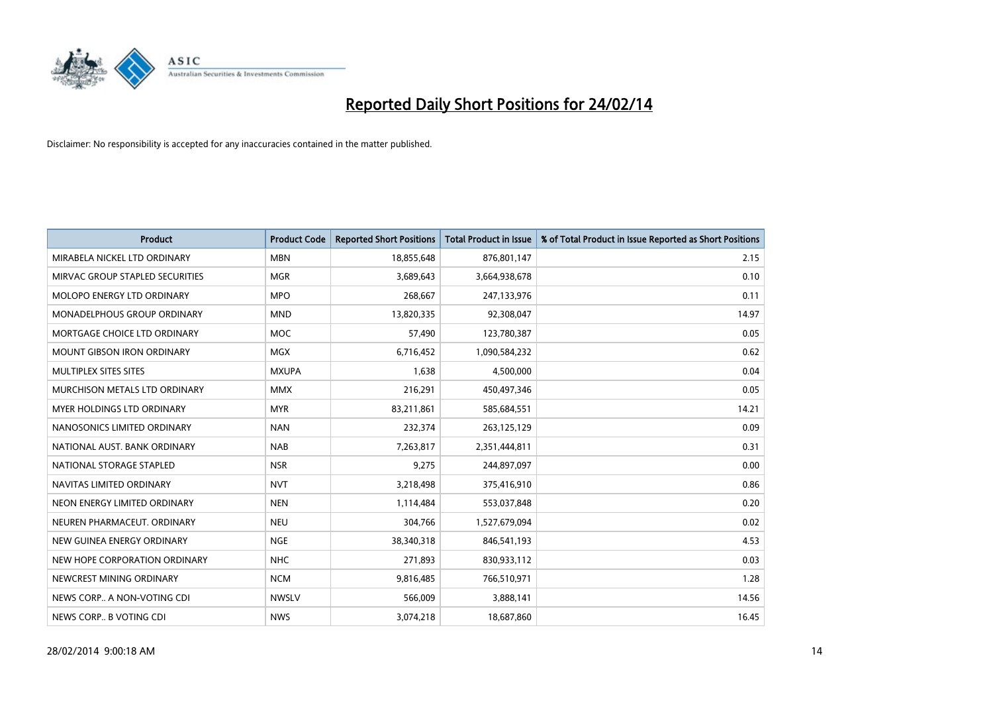

| <b>Product</b>                    | <b>Product Code</b> | <b>Reported Short Positions</b> | <b>Total Product in Issue</b> | % of Total Product in Issue Reported as Short Positions |
|-----------------------------------|---------------------|---------------------------------|-------------------------------|---------------------------------------------------------|
| MIRABELA NICKEL LTD ORDINARY      | <b>MBN</b>          | 18,855,648                      | 876,801,147                   | 2.15                                                    |
| MIRVAC GROUP STAPLED SECURITIES   | <b>MGR</b>          | 3,689,643                       | 3,664,938,678                 | 0.10                                                    |
| MOLOPO ENERGY LTD ORDINARY        | <b>MPO</b>          | 268,667                         | 247,133,976                   | 0.11                                                    |
| MONADELPHOUS GROUP ORDINARY       | <b>MND</b>          | 13,820,335                      | 92,308,047                    | 14.97                                                   |
| MORTGAGE CHOICE LTD ORDINARY      | <b>MOC</b>          | 57,490                          | 123,780,387                   | 0.05                                                    |
| <b>MOUNT GIBSON IRON ORDINARY</b> | MGX                 | 6,716,452                       | 1,090,584,232                 | 0.62                                                    |
| MULTIPLEX SITES SITES             | <b>MXUPA</b>        | 1,638                           | 4,500,000                     | 0.04                                                    |
| MURCHISON METALS LTD ORDINARY     | <b>MMX</b>          | 216,291                         | 450,497,346                   | 0.05                                                    |
| <b>MYER HOLDINGS LTD ORDINARY</b> | <b>MYR</b>          | 83,211,861                      | 585,684,551                   | 14.21                                                   |
| NANOSONICS LIMITED ORDINARY       | <b>NAN</b>          | 232,374                         | 263,125,129                   | 0.09                                                    |
| NATIONAL AUST, BANK ORDINARY      | <b>NAB</b>          | 7,263,817                       | 2,351,444,811                 | 0.31                                                    |
| NATIONAL STORAGE STAPLED          | <b>NSR</b>          | 9,275                           | 244,897,097                   | 0.00                                                    |
| NAVITAS LIMITED ORDINARY          | <b>NVT</b>          | 3,218,498                       | 375,416,910                   | 0.86                                                    |
| NEON ENERGY LIMITED ORDINARY      | <b>NEN</b>          | 1,114,484                       | 553,037,848                   | 0.20                                                    |
| NEUREN PHARMACEUT, ORDINARY       | <b>NEU</b>          | 304,766                         | 1,527,679,094                 | 0.02                                                    |
| NEW GUINEA ENERGY ORDINARY        | <b>NGE</b>          | 38,340,318                      | 846,541,193                   | 4.53                                                    |
| NEW HOPE CORPORATION ORDINARY     | <b>NHC</b>          | 271,893                         | 830,933,112                   | 0.03                                                    |
| NEWCREST MINING ORDINARY          | <b>NCM</b>          | 9,816,485                       | 766,510,971                   | 1.28                                                    |
| NEWS CORP A NON-VOTING CDI        | <b>NWSLV</b>        | 566,009                         | 3,888,141                     | 14.56                                                   |
| NEWS CORP B VOTING CDI            | <b>NWS</b>          | 3,074,218                       | 18,687,860                    | 16.45                                                   |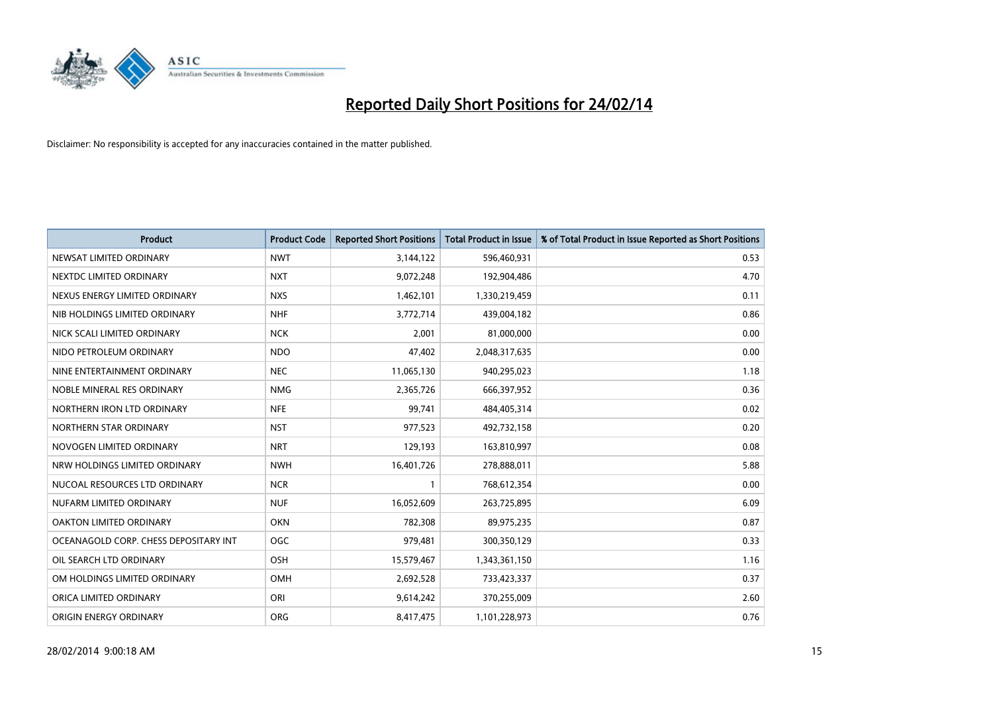

| <b>Product</b>                        | <b>Product Code</b> | <b>Reported Short Positions</b> | <b>Total Product in Issue</b> | % of Total Product in Issue Reported as Short Positions |
|---------------------------------------|---------------------|---------------------------------|-------------------------------|---------------------------------------------------------|
| NEWSAT LIMITED ORDINARY               | <b>NWT</b>          | 3,144,122                       | 596,460,931                   | 0.53                                                    |
| NEXTDC LIMITED ORDINARY               | <b>NXT</b>          | 9,072,248                       | 192,904,486                   | 4.70                                                    |
| NEXUS ENERGY LIMITED ORDINARY         | <b>NXS</b>          | 1,462,101                       | 1,330,219,459                 | 0.11                                                    |
| NIB HOLDINGS LIMITED ORDINARY         | <b>NHF</b>          | 3,772,714                       | 439,004,182                   | 0.86                                                    |
| NICK SCALI LIMITED ORDINARY           | <b>NCK</b>          | 2,001                           | 81,000,000                    | 0.00                                                    |
| NIDO PETROLEUM ORDINARY               | <b>NDO</b>          | 47,402                          | 2,048,317,635                 | 0.00                                                    |
| NINE ENTERTAINMENT ORDINARY           | <b>NEC</b>          | 11,065,130                      | 940,295,023                   | 1.18                                                    |
| NOBLE MINERAL RES ORDINARY            | <b>NMG</b>          | 2,365,726                       | 666,397,952                   | 0.36                                                    |
| NORTHERN IRON LTD ORDINARY            | <b>NFE</b>          | 99,741                          | 484,405,314                   | 0.02                                                    |
| NORTHERN STAR ORDINARY                | <b>NST</b>          | 977,523                         | 492,732,158                   | 0.20                                                    |
| NOVOGEN LIMITED ORDINARY              | <b>NRT</b>          | 129,193                         | 163,810,997                   | 0.08                                                    |
| NRW HOLDINGS LIMITED ORDINARY         | <b>NWH</b>          | 16,401,726                      | 278,888,011                   | 5.88                                                    |
| NUCOAL RESOURCES LTD ORDINARY         | <b>NCR</b>          | $\mathbf{1}$                    | 768,612,354                   | 0.00                                                    |
| NUFARM LIMITED ORDINARY               | <b>NUF</b>          | 16,052,609                      | 263,725,895                   | 6.09                                                    |
| <b>OAKTON LIMITED ORDINARY</b>        | <b>OKN</b>          | 782,308                         | 89,975,235                    | 0.87                                                    |
| OCEANAGOLD CORP. CHESS DEPOSITARY INT | <b>OGC</b>          | 979,481                         | 300,350,129                   | 0.33                                                    |
| OIL SEARCH LTD ORDINARY               | OSH                 | 15,579,467                      | 1,343,361,150                 | 1.16                                                    |
| OM HOLDINGS LIMITED ORDINARY          | OMH                 | 2,692,528                       | 733,423,337                   | 0.37                                                    |
| ORICA LIMITED ORDINARY                | ORI                 | 9,614,242                       | 370,255,009                   | 2.60                                                    |
| ORIGIN ENERGY ORDINARY                | <b>ORG</b>          | 8,417,475                       | 1,101,228,973                 | 0.76                                                    |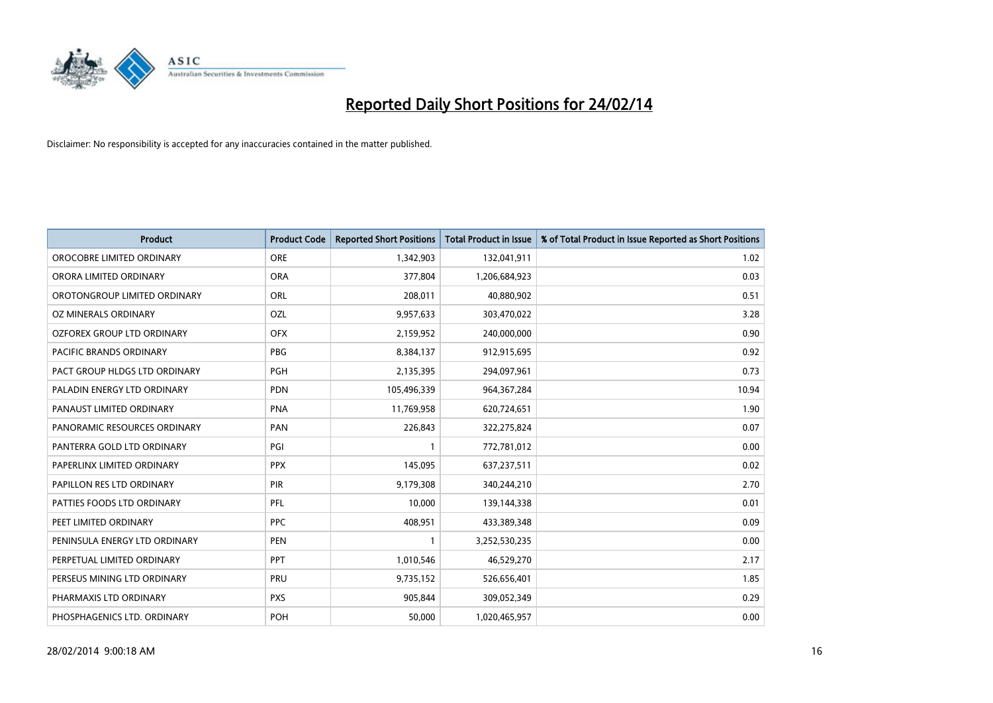

| <b>Product</b>                    | <b>Product Code</b> | <b>Reported Short Positions</b> | <b>Total Product in Issue</b> | % of Total Product in Issue Reported as Short Positions |
|-----------------------------------|---------------------|---------------------------------|-------------------------------|---------------------------------------------------------|
| OROCOBRE LIMITED ORDINARY         | <b>ORE</b>          | 1,342,903                       | 132,041,911                   | 1.02                                                    |
| ORORA LIMITED ORDINARY            | <b>ORA</b>          | 377,804                         | 1,206,684,923                 | 0.03                                                    |
| OROTONGROUP LIMITED ORDINARY      | <b>ORL</b>          | 208,011                         | 40,880,902                    | 0.51                                                    |
| OZ MINERALS ORDINARY              | <b>OZL</b>          | 9,957,633                       | 303,470,022                   | 3.28                                                    |
| <b>OZFOREX GROUP LTD ORDINARY</b> | <b>OFX</b>          | 2,159,952                       | 240,000,000                   | 0.90                                                    |
| <b>PACIFIC BRANDS ORDINARY</b>    | <b>PBG</b>          | 8,384,137                       | 912,915,695                   | 0.92                                                    |
| PACT GROUP HLDGS LTD ORDINARY     | <b>PGH</b>          | 2,135,395                       | 294,097,961                   | 0.73                                                    |
| PALADIN ENERGY LTD ORDINARY       | <b>PDN</b>          | 105,496,339                     | 964, 367, 284                 | 10.94                                                   |
| PANAUST LIMITED ORDINARY          | <b>PNA</b>          | 11,769,958                      | 620,724,651                   | 1.90                                                    |
| PANORAMIC RESOURCES ORDINARY      | PAN                 | 226,843                         | 322,275,824                   | 0.07                                                    |
| PANTERRA GOLD LTD ORDINARY        | PGI                 |                                 | 772,781,012                   | 0.00                                                    |
| PAPERLINX LIMITED ORDINARY        | <b>PPX</b>          | 145,095                         | 637,237,511                   | 0.02                                                    |
| PAPILLON RES LTD ORDINARY         | PIR                 | 9,179,308                       | 340,244,210                   | 2.70                                                    |
| PATTIES FOODS LTD ORDINARY        | PFL                 | 10,000                          | 139,144,338                   | 0.01                                                    |
| PEET LIMITED ORDINARY             | <b>PPC</b>          | 408,951                         | 433,389,348                   | 0.09                                                    |
| PENINSULA ENERGY LTD ORDINARY     | <b>PEN</b>          |                                 | 3,252,530,235                 | 0.00                                                    |
| PERPETUAL LIMITED ORDINARY        | <b>PPT</b>          | 1,010,546                       | 46,529,270                    | 2.17                                                    |
| PERSEUS MINING LTD ORDINARY       | <b>PRU</b>          | 9,735,152                       | 526,656,401                   | 1.85                                                    |
| PHARMAXIS LTD ORDINARY            | <b>PXS</b>          | 905,844                         | 309,052,349                   | 0.29                                                    |
| PHOSPHAGENICS LTD. ORDINARY       | POH                 | 50,000                          | 1,020,465,957                 | 0.00                                                    |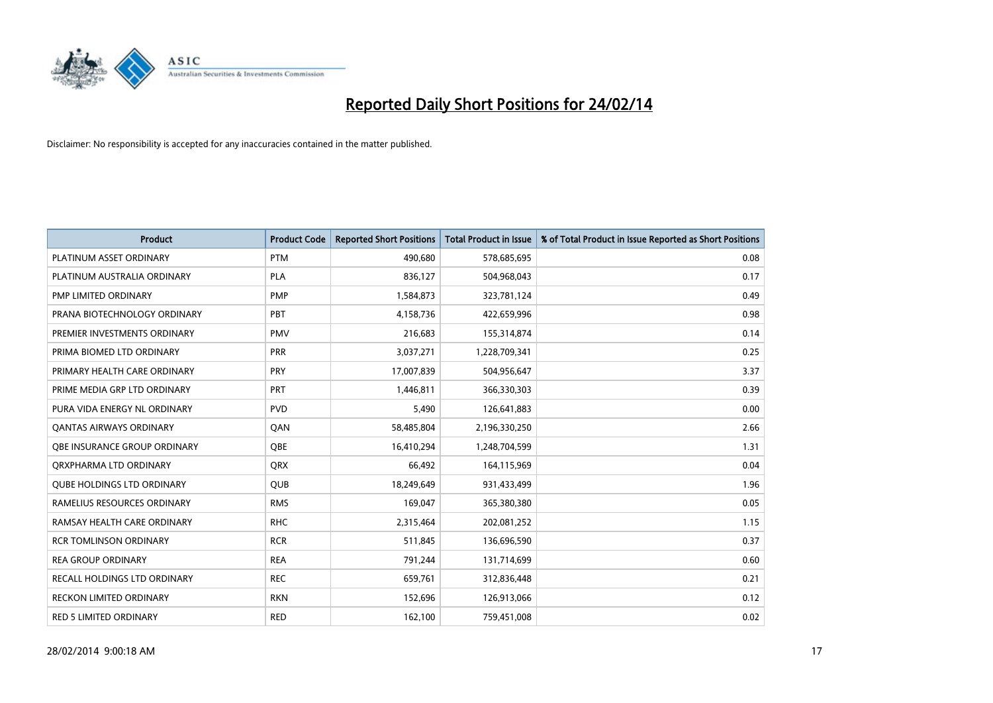

| <b>Product</b>                      | <b>Product Code</b> | <b>Reported Short Positions</b> | <b>Total Product in Issue</b> | % of Total Product in Issue Reported as Short Positions |
|-------------------------------------|---------------------|---------------------------------|-------------------------------|---------------------------------------------------------|
| PLATINUM ASSET ORDINARY             | <b>PTM</b>          | 490,680                         | 578,685,695                   | 0.08                                                    |
| PLATINUM AUSTRALIA ORDINARY         | <b>PLA</b>          | 836,127                         | 504,968,043                   | 0.17                                                    |
| PMP LIMITED ORDINARY                | <b>PMP</b>          | 1,584,873                       | 323,781,124                   | 0.49                                                    |
| PRANA BIOTECHNOLOGY ORDINARY        | PBT                 | 4,158,736                       | 422,659,996                   | 0.98                                                    |
| PREMIER INVESTMENTS ORDINARY        | <b>PMV</b>          | 216,683                         | 155,314,874                   | 0.14                                                    |
| PRIMA BIOMED LTD ORDINARY           | <b>PRR</b>          | 3,037,271                       | 1,228,709,341                 | 0.25                                                    |
| PRIMARY HEALTH CARE ORDINARY        | <b>PRY</b>          | 17,007,839                      | 504,956,647                   | 3.37                                                    |
| PRIME MEDIA GRP LTD ORDINARY        | <b>PRT</b>          | 1,446,811                       | 366,330,303                   | 0.39                                                    |
| PURA VIDA ENERGY NL ORDINARY        | <b>PVD</b>          | 5,490                           | 126,641,883                   | 0.00                                                    |
| <b>QANTAS AIRWAYS ORDINARY</b>      | QAN                 | 58,485,804                      | 2,196,330,250                 | 2.66                                                    |
| <b>OBE INSURANCE GROUP ORDINARY</b> | <b>OBE</b>          | 16,410,294                      | 1,248,704,599                 | 1.31                                                    |
| ORXPHARMA LTD ORDINARY              | QRX                 | 66,492                          | 164,115,969                   | 0.04                                                    |
| <b>QUBE HOLDINGS LTD ORDINARY</b>   | <b>QUB</b>          | 18,249,649                      | 931,433,499                   | 1.96                                                    |
| RAMELIUS RESOURCES ORDINARY         | <b>RMS</b>          | 169,047                         | 365,380,380                   | 0.05                                                    |
| RAMSAY HEALTH CARE ORDINARY         | <b>RHC</b>          | 2,315,464                       | 202,081,252                   | 1.15                                                    |
| <b>RCR TOMLINSON ORDINARY</b>       | <b>RCR</b>          | 511,845                         | 136,696,590                   | 0.37                                                    |
| <b>REA GROUP ORDINARY</b>           | <b>REA</b>          | 791,244                         | 131,714,699                   | 0.60                                                    |
| RECALL HOLDINGS LTD ORDINARY        | <b>REC</b>          | 659,761                         | 312,836,448                   | 0.21                                                    |
| <b>RECKON LIMITED ORDINARY</b>      | <b>RKN</b>          | 152,696                         | 126,913,066                   | 0.12                                                    |
| <b>RED 5 LIMITED ORDINARY</b>       | <b>RED</b>          | 162,100                         | 759,451,008                   | 0.02                                                    |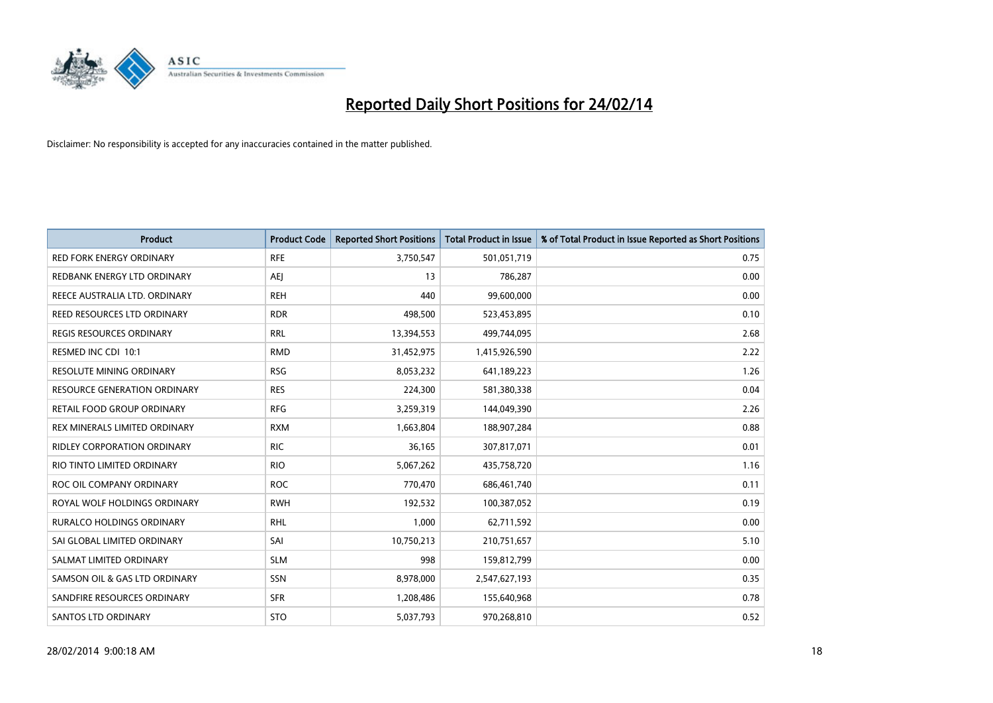

| <b>Product</b>                  | <b>Product Code</b> | <b>Reported Short Positions</b> | <b>Total Product in Issue</b> | % of Total Product in Issue Reported as Short Positions |
|---------------------------------|---------------------|---------------------------------|-------------------------------|---------------------------------------------------------|
| <b>RED FORK ENERGY ORDINARY</b> | <b>RFE</b>          | 3,750,547                       | 501,051,719                   | 0.75                                                    |
| REDBANK ENERGY LTD ORDINARY     | AEJ                 | 13                              | 786,287                       | 0.00                                                    |
| REECE AUSTRALIA LTD. ORDINARY   | <b>REH</b>          | 440                             | 99,600,000                    | 0.00                                                    |
| REED RESOURCES LTD ORDINARY     | <b>RDR</b>          | 498,500                         | 523,453,895                   | 0.10                                                    |
| <b>REGIS RESOURCES ORDINARY</b> | <b>RRL</b>          | 13,394,553                      | 499,744,095                   | 2.68                                                    |
| RESMED INC CDI 10:1             | <b>RMD</b>          | 31,452,975                      | 1,415,926,590                 | 2.22                                                    |
| <b>RESOLUTE MINING ORDINARY</b> | <b>RSG</b>          | 8,053,232                       | 641,189,223                   | 1.26                                                    |
| RESOURCE GENERATION ORDINARY    | <b>RES</b>          | 224,300                         | 581,380,338                   | 0.04                                                    |
| RETAIL FOOD GROUP ORDINARY      | <b>RFG</b>          | 3,259,319                       | 144,049,390                   | 2.26                                                    |
| REX MINERALS LIMITED ORDINARY   | <b>RXM</b>          | 1,663,804                       | 188,907,284                   | 0.88                                                    |
| RIDLEY CORPORATION ORDINARY     | <b>RIC</b>          | 36,165                          | 307,817,071                   | 0.01                                                    |
| RIO TINTO LIMITED ORDINARY      | <b>RIO</b>          | 5,067,262                       | 435,758,720                   | 1.16                                                    |
| ROC OIL COMPANY ORDINARY        | <b>ROC</b>          | 770,470                         | 686,461,740                   | 0.11                                                    |
| ROYAL WOLF HOLDINGS ORDINARY    | <b>RWH</b>          | 192,532                         | 100,387,052                   | 0.19                                                    |
| RURALCO HOLDINGS ORDINARY       | <b>RHL</b>          | 1,000                           | 62,711,592                    | 0.00                                                    |
| SAI GLOBAL LIMITED ORDINARY     | SAI                 | 10,750,213                      | 210,751,657                   | 5.10                                                    |
| SALMAT LIMITED ORDINARY         | <b>SLM</b>          | 998                             | 159,812,799                   | 0.00                                                    |
| SAMSON OIL & GAS LTD ORDINARY   | SSN                 | 8,978,000                       | 2,547,627,193                 | 0.35                                                    |
| SANDFIRE RESOURCES ORDINARY     | <b>SFR</b>          | 1,208,486                       | 155,640,968                   | 0.78                                                    |
| SANTOS LTD ORDINARY             | <b>STO</b>          | 5,037,793                       | 970,268,810                   | 0.52                                                    |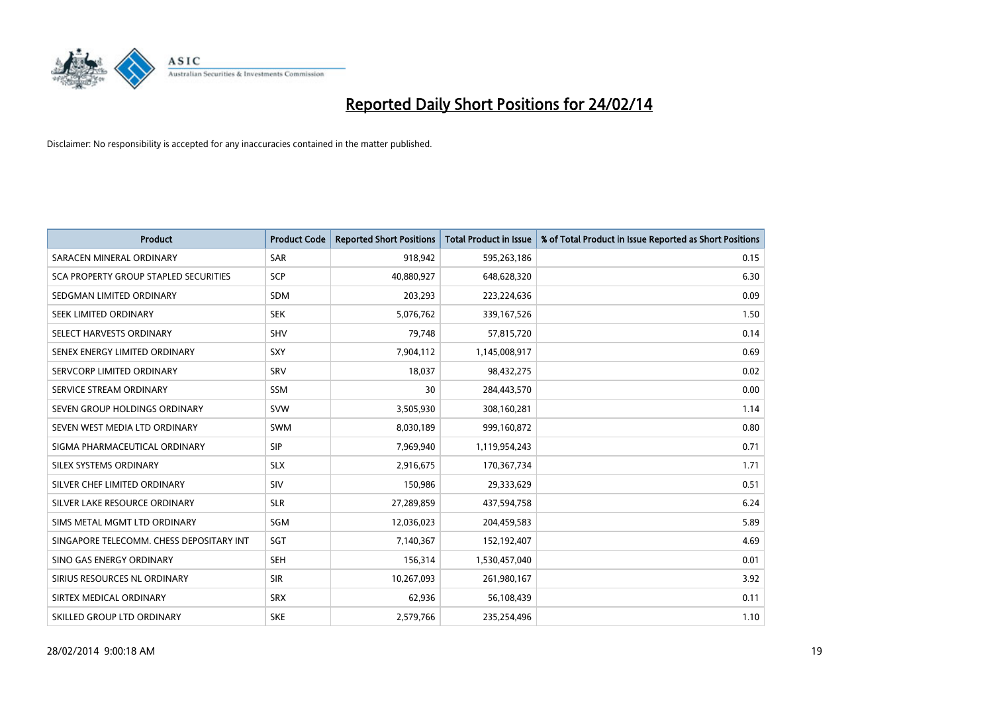

| <b>Product</b>                           | <b>Product Code</b> | <b>Reported Short Positions</b> | <b>Total Product in Issue</b> | % of Total Product in Issue Reported as Short Positions |
|------------------------------------------|---------------------|---------------------------------|-------------------------------|---------------------------------------------------------|
| SARACEN MINERAL ORDINARY                 | <b>SAR</b>          | 918,942                         | 595,263,186                   | 0.15                                                    |
| SCA PROPERTY GROUP STAPLED SECURITIES    | SCP                 | 40,880,927                      | 648,628,320                   | 6.30                                                    |
| SEDGMAN LIMITED ORDINARY                 | <b>SDM</b>          | 203,293                         | 223,224,636                   | 0.09                                                    |
| SEEK LIMITED ORDINARY                    | <b>SEK</b>          | 5,076,762                       | 339,167,526                   | 1.50                                                    |
| SELECT HARVESTS ORDINARY                 | <b>SHV</b>          | 79,748                          | 57,815,720                    | 0.14                                                    |
| SENEX ENERGY LIMITED ORDINARY            | SXY                 | 7,904,112                       | 1,145,008,917                 | 0.69                                                    |
| SERVCORP LIMITED ORDINARY                | <b>SRV</b>          | 18,037                          | 98,432,275                    | 0.02                                                    |
| SERVICE STREAM ORDINARY                  | <b>SSM</b>          | 30                              | 284,443,570                   | 0.00                                                    |
| SEVEN GROUP HOLDINGS ORDINARY            | <b>SVW</b>          | 3,505,930                       | 308,160,281                   | 1.14                                                    |
| SEVEN WEST MEDIA LTD ORDINARY            | SWM                 | 8,030,189                       | 999,160,872                   | 0.80                                                    |
| SIGMA PHARMACEUTICAL ORDINARY            | <b>SIP</b>          | 7,969,940                       | 1,119,954,243                 | 0.71                                                    |
| SILEX SYSTEMS ORDINARY                   | <b>SLX</b>          | 2,916,675                       | 170,367,734                   | 1.71                                                    |
| SILVER CHEF LIMITED ORDINARY             | SIV                 | 150,986                         | 29,333,629                    | 0.51                                                    |
| SILVER LAKE RESOURCE ORDINARY            | <b>SLR</b>          | 27,289,859                      | 437,594,758                   | 6.24                                                    |
| SIMS METAL MGMT LTD ORDINARY             | SGM                 | 12,036,023                      | 204,459,583                   | 5.89                                                    |
| SINGAPORE TELECOMM. CHESS DEPOSITARY INT | SGT                 | 7,140,367                       | 152,192,407                   | 4.69                                                    |
| SINO GAS ENERGY ORDINARY                 | SEH                 | 156,314                         | 1,530,457,040                 | 0.01                                                    |
| SIRIUS RESOURCES NL ORDINARY             | <b>SIR</b>          | 10,267,093                      | 261,980,167                   | 3.92                                                    |
| SIRTEX MEDICAL ORDINARY                  | <b>SRX</b>          | 62,936                          | 56,108,439                    | 0.11                                                    |
| SKILLED GROUP LTD ORDINARY               | <b>SKE</b>          | 2,579,766                       | 235,254,496                   | 1.10                                                    |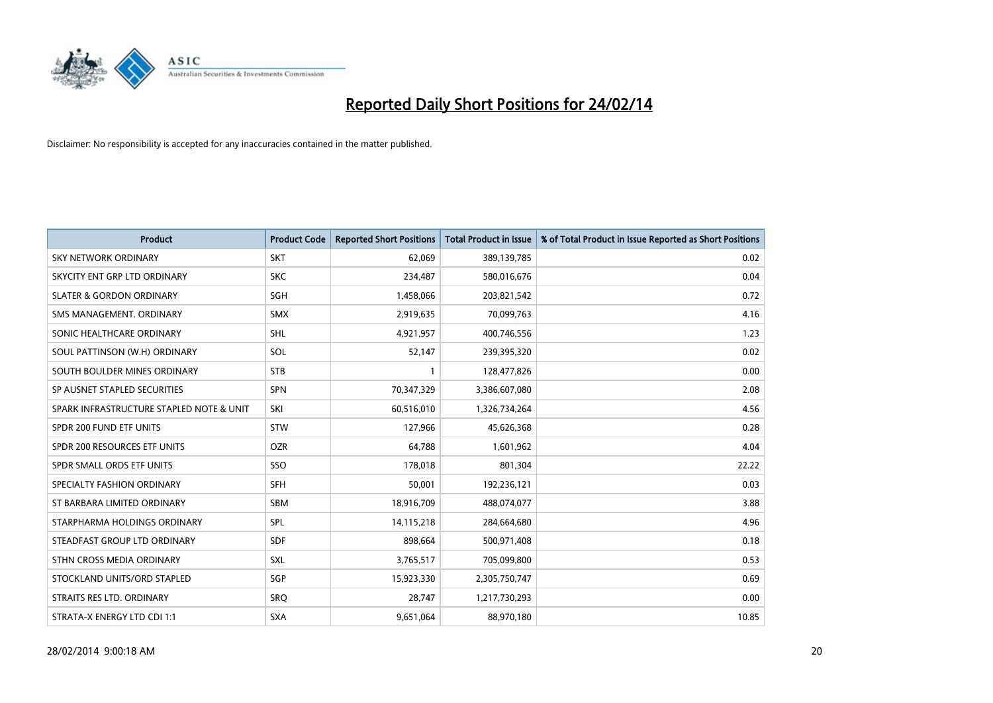

| <b>Product</b>                           | <b>Product Code</b> | <b>Reported Short Positions</b> | <b>Total Product in Issue</b> | % of Total Product in Issue Reported as Short Positions |
|------------------------------------------|---------------------|---------------------------------|-------------------------------|---------------------------------------------------------|
| <b>SKY NETWORK ORDINARY</b>              | <b>SKT</b>          | 62,069                          | 389,139,785                   | 0.02                                                    |
| SKYCITY ENT GRP LTD ORDINARY             | <b>SKC</b>          | 234,487                         | 580,016,676                   | 0.04                                                    |
| <b>SLATER &amp; GORDON ORDINARY</b>      | SGH                 | 1,458,066                       | 203,821,542                   | 0.72                                                    |
| SMS MANAGEMENT. ORDINARY                 | <b>SMX</b>          | 2,919,635                       | 70,099,763                    | 4.16                                                    |
| SONIC HEALTHCARE ORDINARY                | <b>SHL</b>          | 4,921,957                       | 400,746,556                   | 1.23                                                    |
| SOUL PATTINSON (W.H) ORDINARY            | SOL                 | 52,147                          | 239,395,320                   | 0.02                                                    |
| SOUTH BOULDER MINES ORDINARY             | <b>STB</b>          |                                 | 128,477,826                   | 0.00                                                    |
| SP AUSNET STAPLED SECURITIES             | SPN                 | 70,347,329                      | 3,386,607,080                 | 2.08                                                    |
| SPARK INFRASTRUCTURE STAPLED NOTE & UNIT | SKI                 | 60,516,010                      | 1,326,734,264                 | 4.56                                                    |
| SPDR 200 FUND ETF UNITS                  | <b>STW</b>          | 127,966                         | 45,626,368                    | 0.28                                                    |
| SPDR 200 RESOURCES ETF UNITS             | <b>OZR</b>          | 64,788                          | 1,601,962                     | 4.04                                                    |
| SPDR SMALL ORDS ETF UNITS                | SSO                 | 178,018                         | 801,304                       | 22.22                                                   |
| SPECIALTY FASHION ORDINARY               | <b>SFH</b>          | 50,001                          | 192,236,121                   | 0.03                                                    |
| ST BARBARA LIMITED ORDINARY              | SBM                 | 18,916,709                      | 488,074,077                   | 3.88                                                    |
| STARPHARMA HOLDINGS ORDINARY             | SPL                 | 14,115,218                      | 284,664,680                   | 4.96                                                    |
| STEADFAST GROUP LTD ORDINARY             | SDF                 | 898,664                         | 500,971,408                   | 0.18                                                    |
| STHN CROSS MEDIA ORDINARY                | SXL                 | 3,765,517                       | 705,099,800                   | 0.53                                                    |
| STOCKLAND UNITS/ORD STAPLED              | SGP                 | 15,923,330                      | 2,305,750,747                 | 0.69                                                    |
| STRAITS RES LTD. ORDINARY                | SRO                 | 28,747                          | 1,217,730,293                 | 0.00                                                    |
| STRATA-X ENERGY LTD CDI 1:1              | <b>SXA</b>          | 9,651,064                       | 88,970,180                    | 10.85                                                   |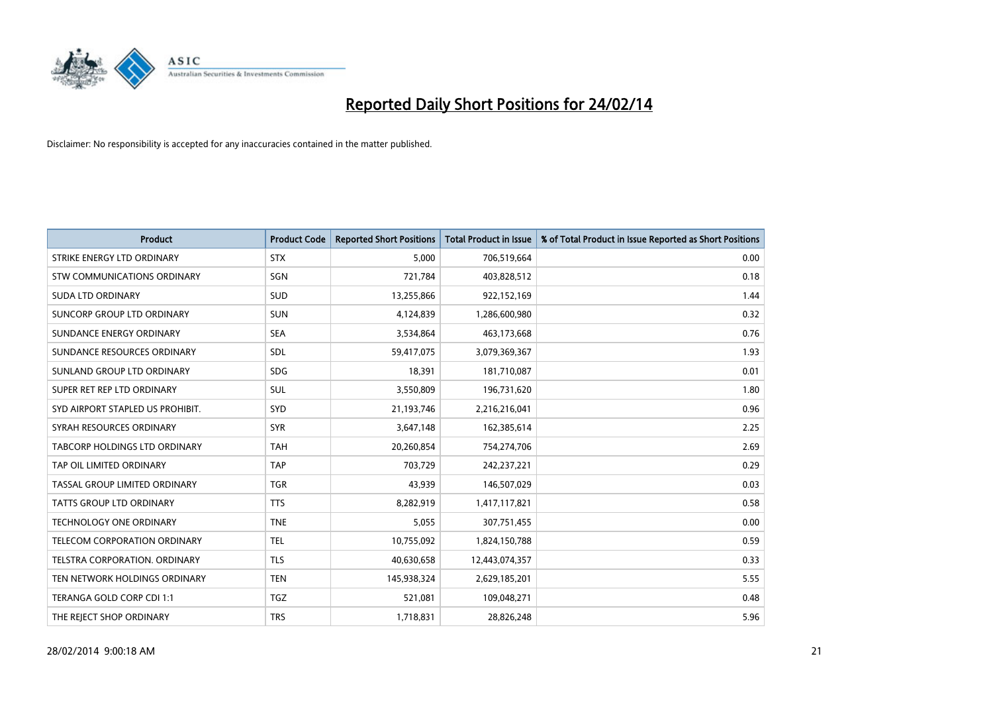

| <b>Product</b>                       | <b>Product Code</b> | <b>Reported Short Positions</b> | <b>Total Product in Issue</b> | % of Total Product in Issue Reported as Short Positions |
|--------------------------------------|---------------------|---------------------------------|-------------------------------|---------------------------------------------------------|
| STRIKE ENERGY LTD ORDINARY           | <b>STX</b>          | 5,000                           | 706,519,664                   | 0.00                                                    |
| STW COMMUNICATIONS ORDINARY          | SGN                 | 721,784                         | 403,828,512                   | 0.18                                                    |
| <b>SUDA LTD ORDINARY</b>             | <b>SUD</b>          | 13,255,866                      | 922,152,169                   | 1.44                                                    |
| SUNCORP GROUP LTD ORDINARY           | <b>SUN</b>          | 4,124,839                       | 1,286,600,980                 | 0.32                                                    |
| SUNDANCE ENERGY ORDINARY             | <b>SEA</b>          | 3,534,864                       | 463,173,668                   | 0.76                                                    |
| SUNDANCE RESOURCES ORDINARY          | <b>SDL</b>          | 59,417,075                      | 3,079,369,367                 | 1.93                                                    |
| SUNLAND GROUP LTD ORDINARY           | <b>SDG</b>          | 18,391                          | 181,710,087                   | 0.01                                                    |
| SUPER RET REP LTD ORDINARY           | SUL                 | 3,550,809                       | 196,731,620                   | 1.80                                                    |
| SYD AIRPORT STAPLED US PROHIBIT.     | <b>SYD</b>          | 21,193,746                      | 2,216,216,041                 | 0.96                                                    |
| SYRAH RESOURCES ORDINARY             | <b>SYR</b>          | 3,647,148                       | 162,385,614                   | 2.25                                                    |
| <b>TABCORP HOLDINGS LTD ORDINARY</b> | <b>TAH</b>          | 20,260,854                      | 754,274,706                   | 2.69                                                    |
| TAP OIL LIMITED ORDINARY             | <b>TAP</b>          | 703,729                         | 242,237,221                   | 0.29                                                    |
| TASSAL GROUP LIMITED ORDINARY        | <b>TGR</b>          | 43,939                          | 146,507,029                   | 0.03                                                    |
| <b>TATTS GROUP LTD ORDINARY</b>      | <b>TTS</b>          | 8,282,919                       | 1,417,117,821                 | 0.58                                                    |
| <b>TECHNOLOGY ONE ORDINARY</b>       | <b>TNE</b>          | 5,055                           | 307,751,455                   | 0.00                                                    |
| TELECOM CORPORATION ORDINARY         | <b>TEL</b>          | 10,755,092                      | 1,824,150,788                 | 0.59                                                    |
| TELSTRA CORPORATION. ORDINARY        | <b>TLS</b>          | 40,630,658                      | 12,443,074,357                | 0.33                                                    |
| TEN NETWORK HOLDINGS ORDINARY        | <b>TEN</b>          | 145,938,324                     | 2,629,185,201                 | 5.55                                                    |
| TERANGA GOLD CORP CDI 1:1            | <b>TGZ</b>          | 521,081                         | 109,048,271                   | 0.48                                                    |
| THE REJECT SHOP ORDINARY             | <b>TRS</b>          | 1,718,831                       | 28,826,248                    | 5.96                                                    |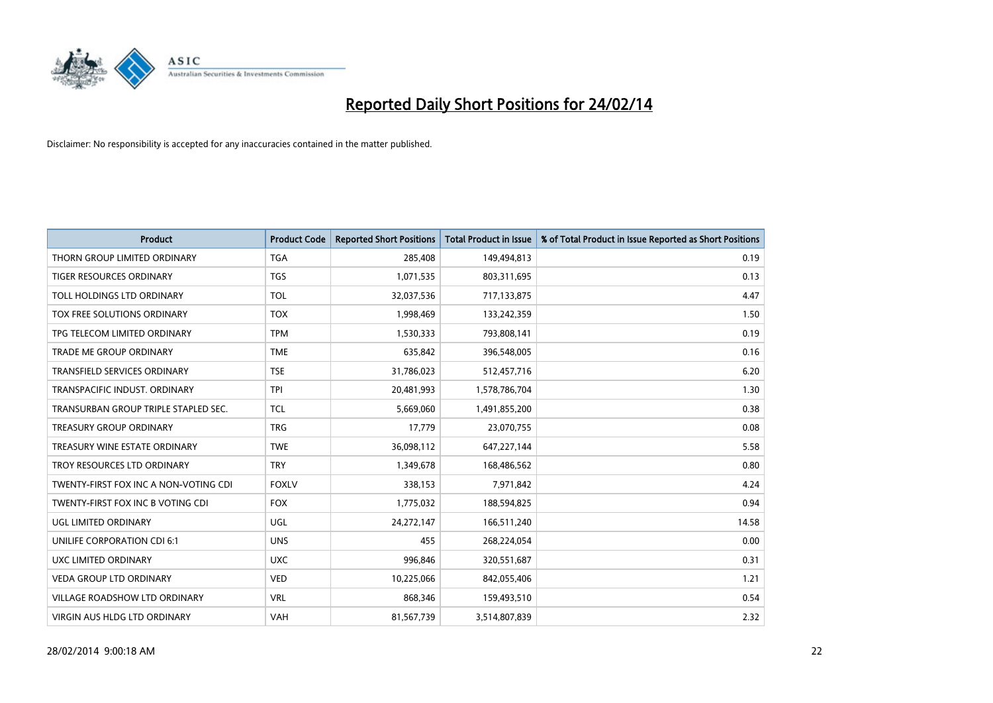

| <b>Product</b>                        | <b>Product Code</b> | <b>Reported Short Positions</b> | <b>Total Product in Issue</b> | % of Total Product in Issue Reported as Short Positions |
|---------------------------------------|---------------------|---------------------------------|-------------------------------|---------------------------------------------------------|
| THORN GROUP LIMITED ORDINARY          | <b>TGA</b>          | 285,408                         | 149,494,813                   | 0.19                                                    |
| TIGER RESOURCES ORDINARY              | <b>TGS</b>          | 1,071,535                       | 803,311,695                   | 0.13                                                    |
| TOLL HOLDINGS LTD ORDINARY            | <b>TOL</b>          | 32,037,536                      | 717,133,875                   | 4.47                                                    |
| TOX FREE SOLUTIONS ORDINARY           | <b>TOX</b>          | 1,998,469                       | 133,242,359                   | 1.50                                                    |
| TPG TELECOM LIMITED ORDINARY          | <b>TPM</b>          | 1,530,333                       | 793,808,141                   | 0.19                                                    |
| <b>TRADE ME GROUP ORDINARY</b>        | <b>TME</b>          | 635,842                         | 396,548,005                   | 0.16                                                    |
| TRANSFIELD SERVICES ORDINARY          | <b>TSE</b>          | 31,786,023                      | 512,457,716                   | 6.20                                                    |
| TRANSPACIFIC INDUST. ORDINARY         | <b>TPI</b>          | 20,481,993                      | 1,578,786,704                 | 1.30                                                    |
| TRANSURBAN GROUP TRIPLE STAPLED SEC.  | <b>TCL</b>          | 5,669,060                       | 1,491,855,200                 | 0.38                                                    |
| <b>TREASURY GROUP ORDINARY</b>        | <b>TRG</b>          | 17,779                          | 23,070,755                    | 0.08                                                    |
| TREASURY WINE ESTATE ORDINARY         | <b>TWE</b>          | 36,098,112                      | 647,227,144                   | 5.58                                                    |
| TROY RESOURCES LTD ORDINARY           | <b>TRY</b>          | 1,349,678                       | 168,486,562                   | 0.80                                                    |
| TWENTY-FIRST FOX INC A NON-VOTING CDI | <b>FOXLV</b>        | 338,153                         | 7,971,842                     | 4.24                                                    |
| TWENTY-FIRST FOX INC B VOTING CDI     | <b>FOX</b>          | 1,775,032                       | 188,594,825                   | 0.94                                                    |
| <b>UGL LIMITED ORDINARY</b>           | UGL                 | 24,272,147                      | 166,511,240                   | 14.58                                                   |
| UNILIFE CORPORATION CDI 6:1           | <b>UNS</b>          | 455                             | 268,224,054                   | 0.00                                                    |
| UXC LIMITED ORDINARY                  | <b>UXC</b>          | 996,846                         | 320,551,687                   | 0.31                                                    |
| <b>VEDA GROUP LTD ORDINARY</b>        | <b>VED</b>          | 10,225,066                      | 842,055,406                   | 1.21                                                    |
| <b>VILLAGE ROADSHOW LTD ORDINARY</b>  | <b>VRL</b>          | 868,346                         | 159,493,510                   | 0.54                                                    |
| <b>VIRGIN AUS HLDG LTD ORDINARY</b>   | VAH                 | 81,567,739                      | 3,514,807,839                 | 2.32                                                    |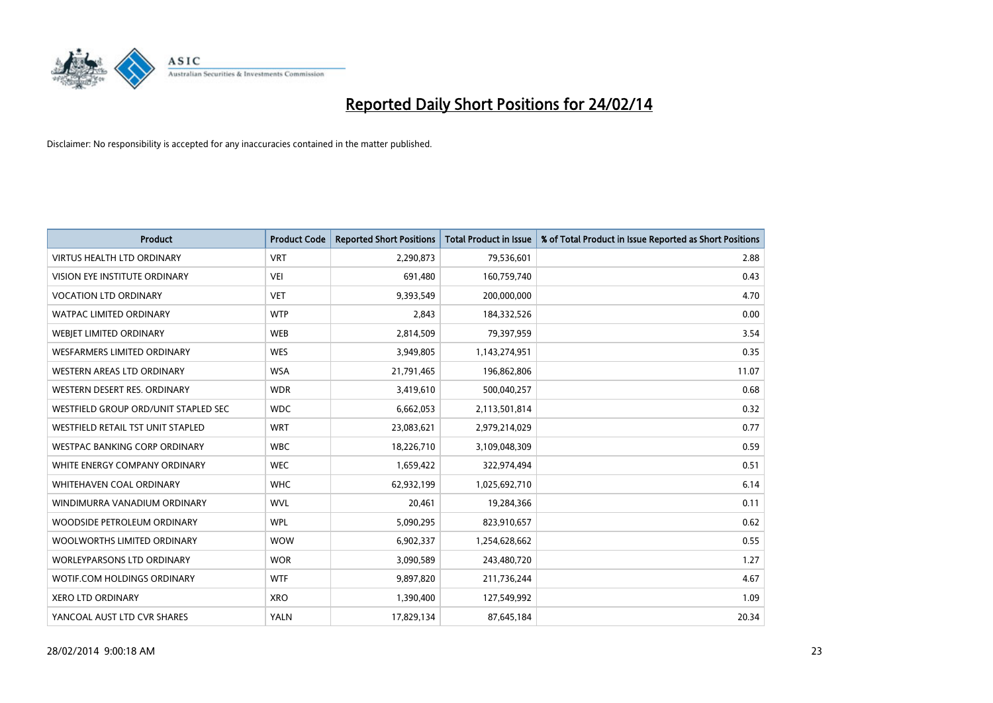

| <b>Product</b>                       | <b>Product Code</b> | <b>Reported Short Positions</b> | <b>Total Product in Issue</b> | % of Total Product in Issue Reported as Short Positions |
|--------------------------------------|---------------------|---------------------------------|-------------------------------|---------------------------------------------------------|
| <b>VIRTUS HEALTH LTD ORDINARY</b>    | <b>VRT</b>          | 2,290,873                       | 79,536,601                    | 2.88                                                    |
| VISION EYE INSTITUTE ORDINARY        | <b>VEI</b>          | 691,480                         | 160,759,740                   | 0.43                                                    |
| <b>VOCATION LTD ORDINARY</b>         | <b>VET</b>          | 9,393,549                       | 200,000,000                   | 4.70                                                    |
| <b>WATPAC LIMITED ORDINARY</b>       | <b>WTP</b>          | 2,843                           | 184,332,526                   | 0.00                                                    |
| WEBIET LIMITED ORDINARY              | <b>WEB</b>          | 2,814,509                       | 79,397,959                    | 3.54                                                    |
| <b>WESFARMERS LIMITED ORDINARY</b>   | <b>WES</b>          | 3,949,805                       | 1,143,274,951                 | 0.35                                                    |
| WESTERN AREAS LTD ORDINARY           | <b>WSA</b>          | 21,791,465                      | 196,862,806                   | 11.07                                                   |
| WESTERN DESERT RES. ORDINARY         | <b>WDR</b>          | 3,419,610                       | 500,040,257                   | 0.68                                                    |
| WESTFIELD GROUP ORD/UNIT STAPLED SEC | <b>WDC</b>          | 6,662,053                       | 2,113,501,814                 | 0.32                                                    |
| WESTFIELD RETAIL TST UNIT STAPLED    | <b>WRT</b>          | 23,083,621                      | 2,979,214,029                 | 0.77                                                    |
| WESTPAC BANKING CORP ORDINARY        | <b>WBC</b>          | 18,226,710                      | 3,109,048,309                 | 0.59                                                    |
| WHITE ENERGY COMPANY ORDINARY        | <b>WEC</b>          | 1,659,422                       | 322,974,494                   | 0.51                                                    |
| <b>WHITEHAVEN COAL ORDINARY</b>      | <b>WHC</b>          | 62,932,199                      | 1,025,692,710                 | 6.14                                                    |
| WINDIMURRA VANADIUM ORDINARY         | <b>WVL</b>          | 20,461                          | 19,284,366                    | 0.11                                                    |
| WOODSIDE PETROLEUM ORDINARY          | <b>WPL</b>          | 5,090,295                       | 823,910,657                   | 0.62                                                    |
| WOOLWORTHS LIMITED ORDINARY          | <b>WOW</b>          | 6,902,337                       | 1,254,628,662                 | 0.55                                                    |
| WORLEYPARSONS LTD ORDINARY           | <b>WOR</b>          | 3,090,589                       | 243,480,720                   | 1.27                                                    |
| WOTIF.COM HOLDINGS ORDINARY          | <b>WTF</b>          | 9,897,820                       | 211,736,244                   | 4.67                                                    |
| XERO LTD ORDINARY                    | <b>XRO</b>          | 1,390,400                       | 127,549,992                   | 1.09                                                    |
| YANCOAL AUST LTD CVR SHARES          | <b>YALN</b>         | 17,829,134                      | 87,645,184                    | 20.34                                                   |